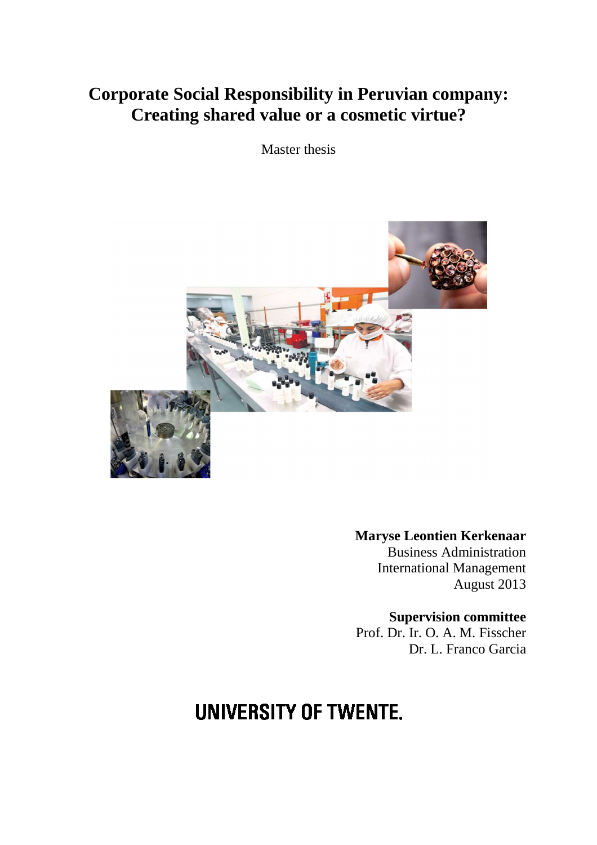## **Corporate Social Responsibility in Peruvian company: Creating shared value or a cosmetic virtue?**

Master thesis



**Maryse Leontien Kerkenaar**  Business Administration International Management August 2013

**Supervision committee**  Prof. Dr. Ir. O. A. M. Fisscher Dr. L. Franco Garcia

# **UNIVERSITY OF TWENTE.**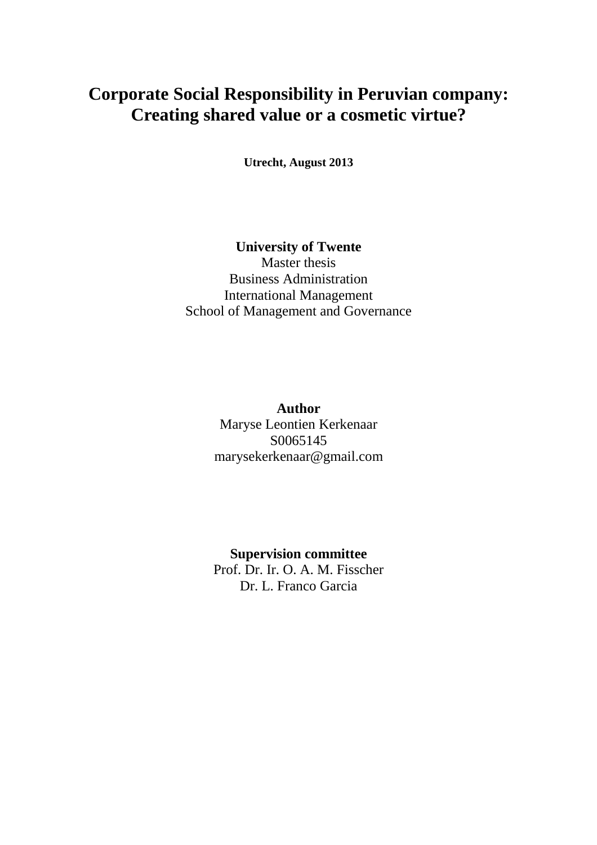## **Corporate Social Responsibility in Peruvian company: Creating shared value or a cosmetic virtue?**

**Utrecht, August 2013** 

## **University of Twente**

Master thesis Business Administration International Management School of Management and Governance

> **Author**  Maryse Leontien Kerkenaar S0065145 marysekerkenaar@gmail.com

> **Supervision committee**  Prof. Dr. Ir. O. A. M. Fisscher Dr. L. Franco Garcia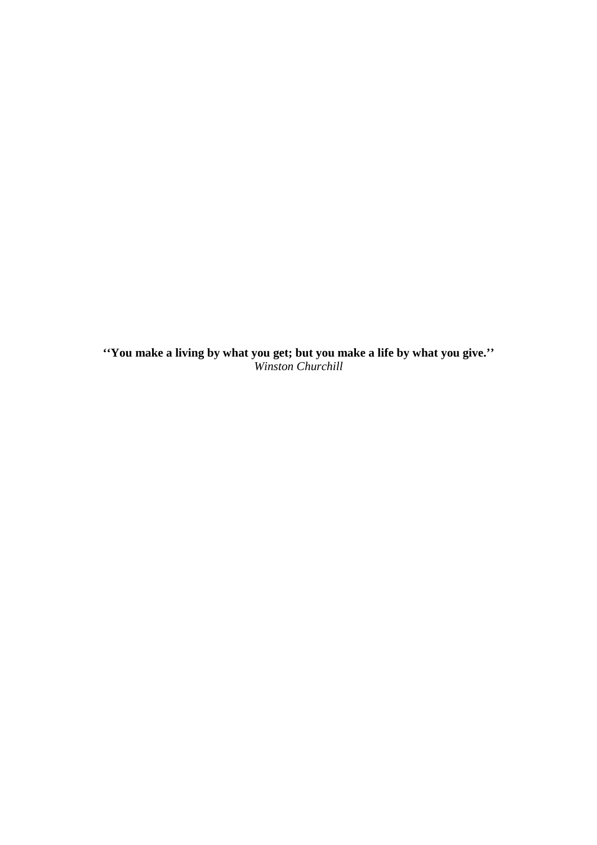**''You make a living by what you get; but you make a life by what you give.''**  *Winston Churchill*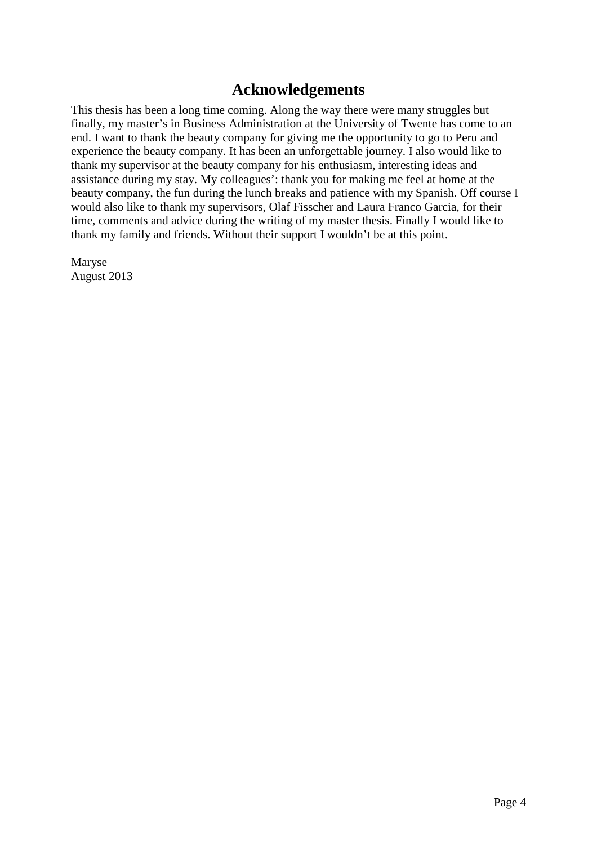## **Acknowledgements**

This thesis has been a long time coming. Along the way there were many struggles but finally, my master's in Business Administration at the University of Twente has come to an end. I want to thank the beauty company for giving me the opportunity to go to Peru and experience the beauty company. It has been an unforgettable journey. I also would like to thank my supervisor at the beauty company for his enthusiasm, interesting ideas and assistance during my stay. My colleagues': thank you for making me feel at home at the beauty company, the fun during the lunch breaks and patience with my Spanish. Off course I would also like to thank my supervisors, Olaf Fisscher and Laura Franco Garcia, for their time, comments and advice during the writing of my master thesis. Finally I would like to thank my family and friends. Without their support I wouldn't be at this point.

Maryse August 2013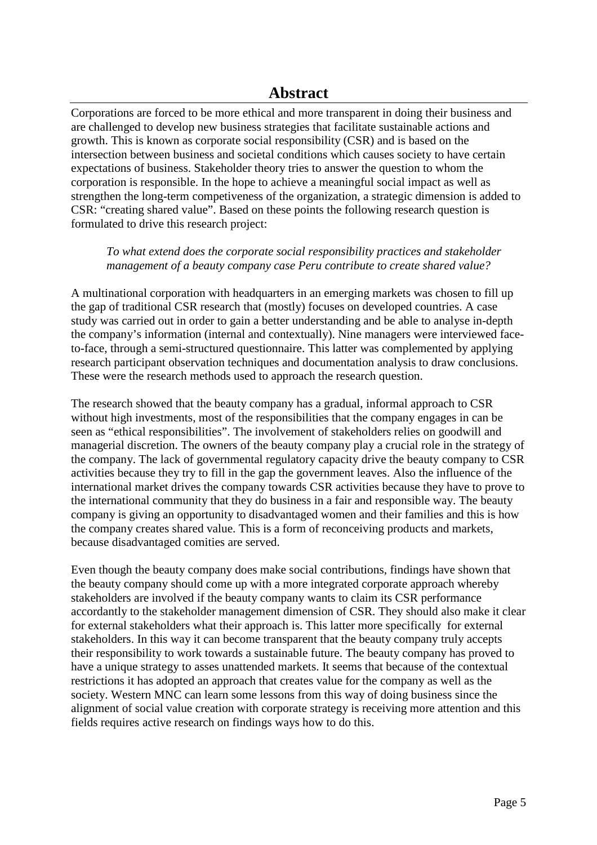Corporations are forced to be more ethical and more transparent in doing their business and are challenged to develop new business strategies that facilitate sustainable actions and growth. This is known as corporate social responsibility (CSR) and is based on the intersection between business and societal conditions which causes society to have certain expectations of business. Stakeholder theory tries to answer the question to whom the corporation is responsible. In the hope to achieve a meaningful social impact as well as strengthen the long-term competiveness of the organization, a strategic dimension is added to CSR: "creating shared value". Based on these points the following research question is formulated to drive this research project:

#### *To what extend does the corporate social responsibility practices and stakeholder management of a beauty company case Peru contribute to create shared value?*

A multinational corporation with headquarters in an emerging markets was chosen to fill up the gap of traditional CSR research that (mostly) focuses on developed countries. A case study was carried out in order to gain a better understanding and be able to analyse in-depth the company's information (internal and contextually). Nine managers were interviewed faceto-face, through a semi-structured questionnaire. This latter was complemented by applying research participant observation techniques and documentation analysis to draw conclusions. These were the research methods used to approach the research question.

The research showed that the beauty company has a gradual, informal approach to CSR without high investments, most of the responsibilities that the company engages in can be seen as "ethical responsibilities". The involvement of stakeholders relies on goodwill and managerial discretion. The owners of the beauty company play a crucial role in the strategy of the company. The lack of governmental regulatory capacity drive the beauty company to CSR activities because they try to fill in the gap the government leaves. Also the influence of the international market drives the company towards CSR activities because they have to prove to the international community that they do business in a fair and responsible way. The beauty company is giving an opportunity to disadvantaged women and their families and this is how the company creates shared value. This is a form of reconceiving products and markets, because disadvantaged comities are served.

Even though the beauty company does make social contributions, findings have shown that the beauty company should come up with a more integrated corporate approach whereby stakeholders are involved if the beauty company wants to claim its CSR performance accordantly to the stakeholder management dimension of CSR. They should also make it clear for external stakeholders what their approach is. This latter more specifically for external stakeholders. In this way it can become transparent that the beauty company truly accepts their responsibility to work towards a sustainable future. The beauty company has proved to have a unique strategy to asses unattended markets. It seems that because of the contextual restrictions it has adopted an approach that creates value for the company as well as the society. Western MNC can learn some lessons from this way of doing business since the alignment of social value creation with corporate strategy is receiving more attention and this fields requires active research on findings ways how to do this.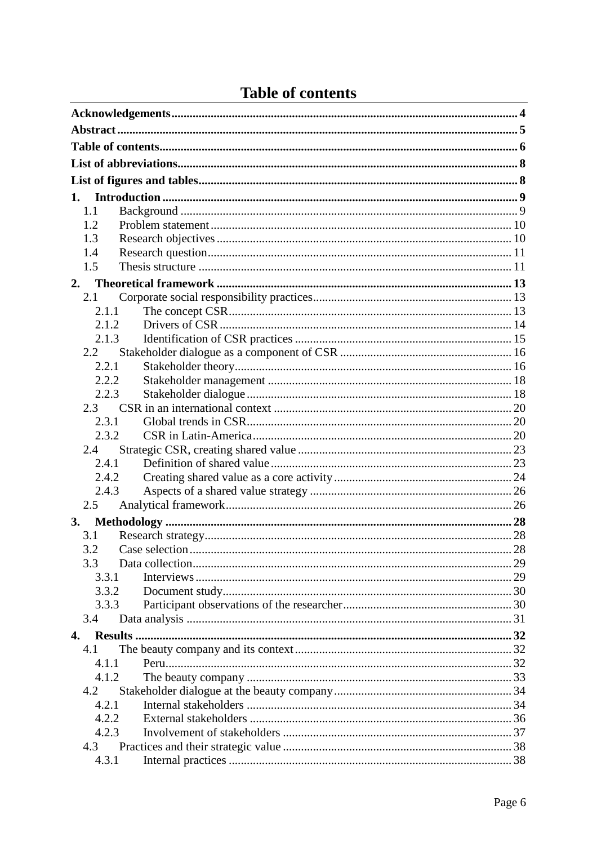|  |  |  |  | <b>Table of contents</b> |
|--|--|--|--|--------------------------|
|--|--|--|--|--------------------------|

|    | 1.    |  |
|----|-------|--|
|    | 1.1   |  |
|    | 1.2   |  |
|    | 1.3   |  |
|    | 1.4   |  |
|    | 1.5   |  |
|    | 2.    |  |
|    | 2.1   |  |
|    | 2.1.1 |  |
|    | 2.1.2 |  |
|    | 2.1.3 |  |
|    | 2.2   |  |
|    | 2.2.1 |  |
|    | 2.2.2 |  |
|    | 2.2.3 |  |
|    | 2.3   |  |
|    | 2.3.1 |  |
|    | 2.3.2 |  |
|    | 2.4   |  |
|    | 2.4.1 |  |
|    | 2.4.2 |  |
|    | 2.4.3 |  |
|    | 2.5   |  |
| 3. |       |  |
|    | 3.1   |  |
|    | 3.2   |  |
|    | 3.3   |  |
|    | 3.3.1 |  |
|    | 3.3.2 |  |
|    | 3.3.3 |  |
|    | 3.4   |  |
| 4. |       |  |
|    | 4.1   |  |
|    | 4.1.1 |  |
|    | 4.1.2 |  |
|    | 4.2   |  |
|    | 4.2.1 |  |
|    | 4.2.2 |  |
|    | 4.2.3 |  |
|    | 4.3   |  |
|    | 4.3.1 |  |
|    |       |  |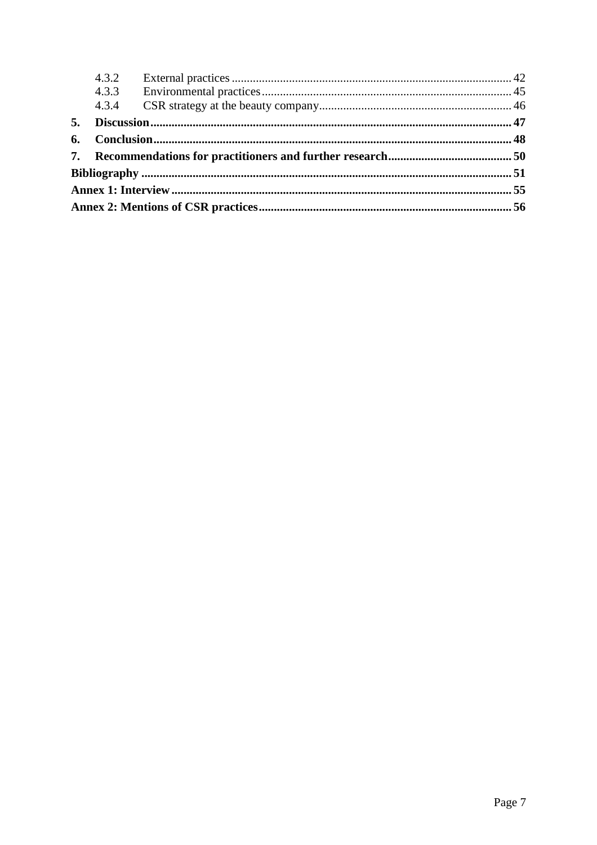|    | 4.3.2 |  |
|----|-------|--|
|    |       |  |
|    | 4.3.4 |  |
| 5. |       |  |
|    |       |  |
|    |       |  |
|    |       |  |
|    |       |  |
|    |       |  |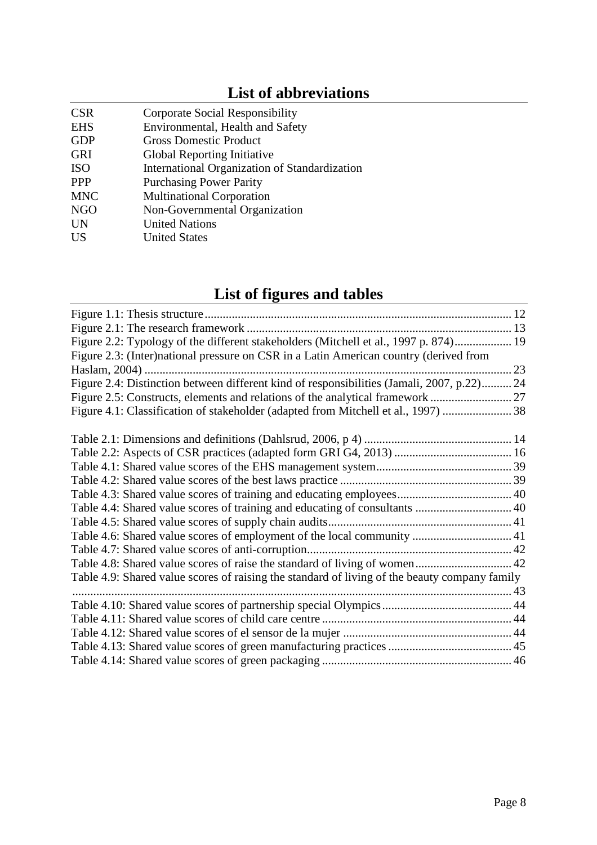## **List of abbreviations**

| <b>CSR</b> | Corporate Social Responsibility               |
|------------|-----------------------------------------------|
| <b>EHS</b> | Environmental, Health and Safety              |
| <b>GDP</b> | <b>Gross Domestic Product</b>                 |
| <b>GRI</b> | Global Reporting Initiative                   |
| <b>ISO</b> | International Organization of Standardization |
| <b>PPP</b> | <b>Purchasing Power Parity</b>                |
| <b>MNC</b> | <b>Multinational Corporation</b>              |
| <b>NGO</b> | Non-Governmental Organization                 |
| <b>UN</b>  | <b>United Nations</b>                         |
| <b>US</b>  | <b>United States</b>                          |
|            |                                               |

## **List of figures and tables**

| Figure 2.2: Typology of the different stakeholders (Mitchell et al., 1997 p. 874) 19          |  |
|-----------------------------------------------------------------------------------------------|--|
| Figure 2.3: (Inter)national pressure on CSR in a Latin American country (derived from         |  |
|                                                                                               |  |
| Figure 2.4: Distinction between different kind of responsibilities (Jamali, 2007, p.22) 24    |  |
|                                                                                               |  |
| Figure 4.1: Classification of stakeholder (adapted from Mitchell et al., 1997)  38            |  |
|                                                                                               |  |
|                                                                                               |  |
|                                                                                               |  |
|                                                                                               |  |
|                                                                                               |  |
|                                                                                               |  |
|                                                                                               |  |
|                                                                                               |  |
| Table 4.6: Shared value scores of employment of the local community  41                       |  |
|                                                                                               |  |
| Table 4.8: Shared value scores of raise the standard of living of women 42                    |  |
| Table 4.9: Shared value scores of raising the standard of living of the beauty company family |  |
|                                                                                               |  |
|                                                                                               |  |
|                                                                                               |  |
|                                                                                               |  |
|                                                                                               |  |
|                                                                                               |  |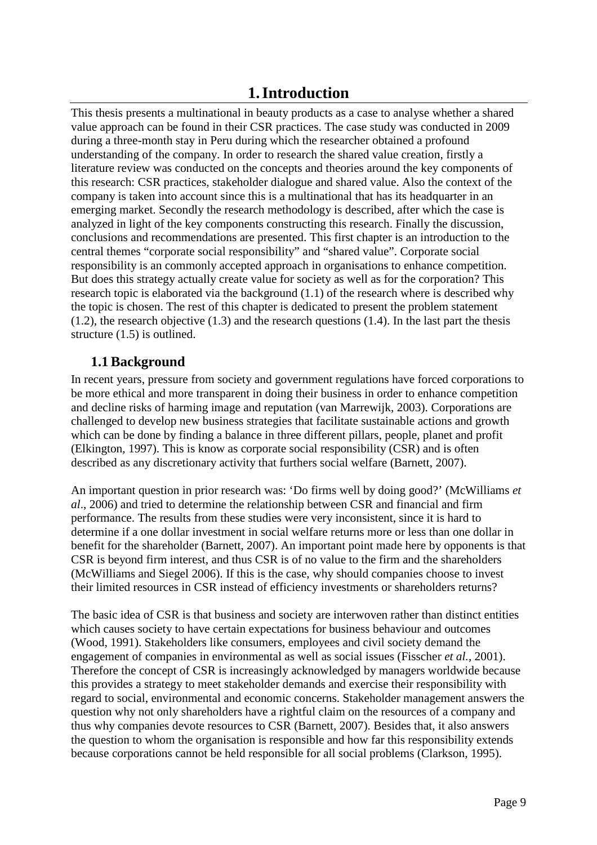## **1.Introduction**

This thesis presents a multinational in beauty products as a case to analyse whether a shared value approach can be found in their CSR practices. The case study was conducted in 2009 during a three-month stay in Peru during which the researcher obtained a profound understanding of the company. In order to research the shared value creation, firstly a literature review was conducted on the concepts and theories around the key components of this research: CSR practices, stakeholder dialogue and shared value. Also the context of the company is taken into account since this is a multinational that has its headquarter in an emerging market. Secondly the research methodology is described, after which the case is analyzed in light of the key components constructing this research. Finally the discussion, conclusions and recommendations are presented. This first chapter is an introduction to the central themes "corporate social responsibility" and "shared value". Corporate social responsibility is an commonly accepted approach in organisations to enhance competition. But does this strategy actually create value for society as well as for the corporation? This research topic is elaborated via the background (1.1) of the research where is described why the topic is chosen. The rest of this chapter is dedicated to present the problem statement (1.2), the research objective (1.3) and the research questions (1.4). In the last part the thesis structure (1.5) is outlined.

## **1.1 Background**

In recent years, pressure from society and government regulations have forced corporations to be more ethical and more transparent in doing their business in order to enhance competition and decline risks of harming image and reputation (van Marrewijk, 2003). Corporations are challenged to develop new business strategies that facilitate sustainable actions and growth which can be done by finding a balance in three different pillars, people, planet and profit (Elkington, 1997). This is know as corporate social responsibility (CSR) and is often described as any discretionary activity that furthers social welfare (Barnett, 2007).

An important question in prior research was: 'Do firms well by doing good?' (McWilliams *et al*., 2006) and tried to determine the relationship between CSR and financial and firm performance. The results from these studies were very inconsistent, since it is hard to determine if a one dollar investment in social welfare returns more or less than one dollar in benefit for the shareholder (Barnett, 2007). An important point made here by opponents is that CSR is beyond firm interest, and thus CSR is of no value to the firm and the shareholders (McWilliams and Siegel 2006). If this is the case, why should companies choose to invest their limited resources in CSR instead of efficiency investments or shareholders returns?

The basic idea of CSR is that business and society are interwoven rather than distinct entities which causes society to have certain expectations for business behaviour and outcomes (Wood, 1991). Stakeholders like consumers, employees and civil society demand the engagement of companies in environmental as well as social issues (Fisscher *et al.*, 2001). Therefore the concept of CSR is increasingly acknowledged by managers worldwide because this provides a strategy to meet stakeholder demands and exercise their responsibility with regard to social, environmental and economic concerns. Stakeholder management answers the question why not only shareholders have a rightful claim on the resources of a company and thus why companies devote resources to CSR (Barnett, 2007). Besides that, it also answers the question to whom the organisation is responsible and how far this responsibility extends because corporations cannot be held responsible for all social problems (Clarkson, 1995).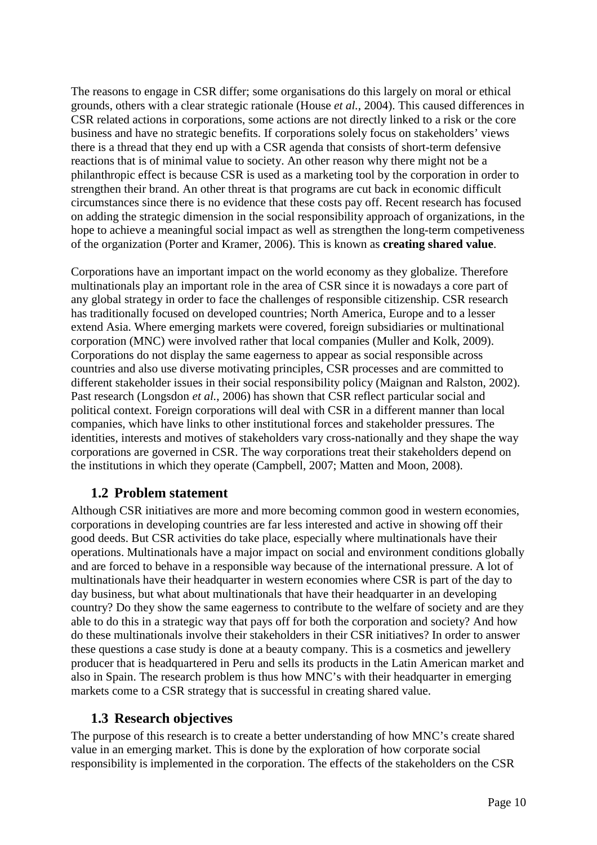The reasons to engage in CSR differ; some organisations do this largely on moral or ethical grounds, others with a clear strategic rationale (House *et al.*, 2004). This caused differences in CSR related actions in corporations, some actions are not directly linked to a risk or the core business and have no strategic benefits. If corporations solely focus on stakeholders' views there is a thread that they end up with a CSR agenda that consists of short-term defensive reactions that is of minimal value to society. An other reason why there might not be a philanthropic effect is because CSR is used as a marketing tool by the corporation in order to strengthen their brand. An other threat is that programs are cut back in economic difficult circumstances since there is no evidence that these costs pay off. Recent research has focused on adding the strategic dimension in the social responsibility approach of organizations, in the hope to achieve a meaningful social impact as well as strengthen the long-term competiveness of the organization (Porter and Kramer, 2006). This is known as **creating shared value**.

Corporations have an important impact on the world economy as they globalize. Therefore multinationals play an important role in the area of CSR since it is nowadays a core part of any global strategy in order to face the challenges of responsible citizenship. CSR research has traditionally focused on developed countries; North America, Europe and to a lesser extend Asia. Where emerging markets were covered, foreign subsidiaries or multinational corporation (MNC) were involved rather that local companies (Muller and Kolk, 2009). Corporations do not display the same eagerness to appear as social responsible across countries and also use diverse motivating principles, CSR processes and are committed to different stakeholder issues in their social responsibility policy (Maignan and Ralston, 2002). Past research (Longsdon *et al.*, 2006) has shown that CSR reflect particular social and political context. Foreign corporations will deal with CSR in a different manner than local companies, which have links to other institutional forces and stakeholder pressures. The identities, interests and motives of stakeholders vary cross-nationally and they shape the way corporations are governed in CSR. The way corporations treat their stakeholders depend on the institutions in which they operate (Campbell, 2007; Matten and Moon, 2008).

### **1.2 Problem statement**

Although CSR initiatives are more and more becoming common good in western economies, corporations in developing countries are far less interested and active in showing off their good deeds. But CSR activities do take place, especially where multinationals have their operations. Multinationals have a major impact on social and environment conditions globally and are forced to behave in a responsible way because of the international pressure. A lot of multinationals have their headquarter in western economies where CSR is part of the day to day business, but what about multinationals that have their headquarter in an developing country? Do they show the same eagerness to contribute to the welfare of society and are they able to do this in a strategic way that pays off for both the corporation and society? And how do these multinationals involve their stakeholders in their CSR initiatives? In order to answer these questions a case study is done at a beauty company. This is a cosmetics and jewellery producer that is headquartered in Peru and sells its products in the Latin American market and also in Spain. The research problem is thus how MNC's with their headquarter in emerging markets come to a CSR strategy that is successful in creating shared value.

### **1.3 Research objectives**

The purpose of this research is to create a better understanding of how MNC's create shared value in an emerging market. This is done by the exploration of how corporate social responsibility is implemented in the corporation. The effects of the stakeholders on the CSR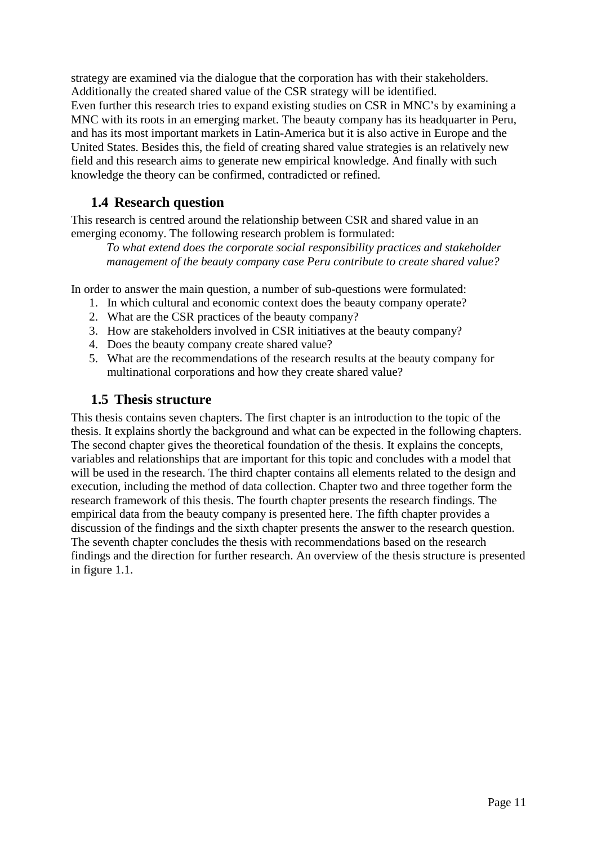strategy are examined via the dialogue that the corporation has with their stakeholders. Additionally the created shared value of the CSR strategy will be identified. Even further this research tries to expand existing studies on CSR in MNC's by examining a MNC with its roots in an emerging market. The beauty company has its headquarter in Peru, and has its most important markets in Latin-America but it is also active in Europe and the United States. Besides this, the field of creating shared value strategies is an relatively new field and this research aims to generate new empirical knowledge. And finally with such knowledge the theory can be confirmed, contradicted or refined.

## **1.4 Research question**

This research is centred around the relationship between CSR and shared value in an emerging economy. The following research problem is formulated:

*To what extend does the corporate social responsibility practices and stakeholder management of the beauty company case Peru contribute to create shared value?* 

In order to answer the main question, a number of sub-questions were formulated:

- 1. In which cultural and economic context does the beauty company operate?
- 2. What are the CSR practices of the beauty company?
- 3. How are stakeholders involved in CSR initiatives at the beauty company?
- 4. Does the beauty company create shared value?
- 5. What are the recommendations of the research results at the beauty company for multinational corporations and how they create shared value?

### **1.5 Thesis structure**

This thesis contains seven chapters. The first chapter is an introduction to the topic of the thesis. It explains shortly the background and what can be expected in the following chapters. The second chapter gives the theoretical foundation of the thesis. It explains the concepts, variables and relationships that are important for this topic and concludes with a model that will be used in the research. The third chapter contains all elements related to the design and execution, including the method of data collection. Chapter two and three together form the research framework of this thesis. The fourth chapter presents the research findings. The empirical data from the beauty company is presented here. The fifth chapter provides a discussion of the findings and the sixth chapter presents the answer to the research question. The seventh chapter concludes the thesis with recommendations based on the research findings and the direction for further research. An overview of the thesis structure is presented in figure 1.1.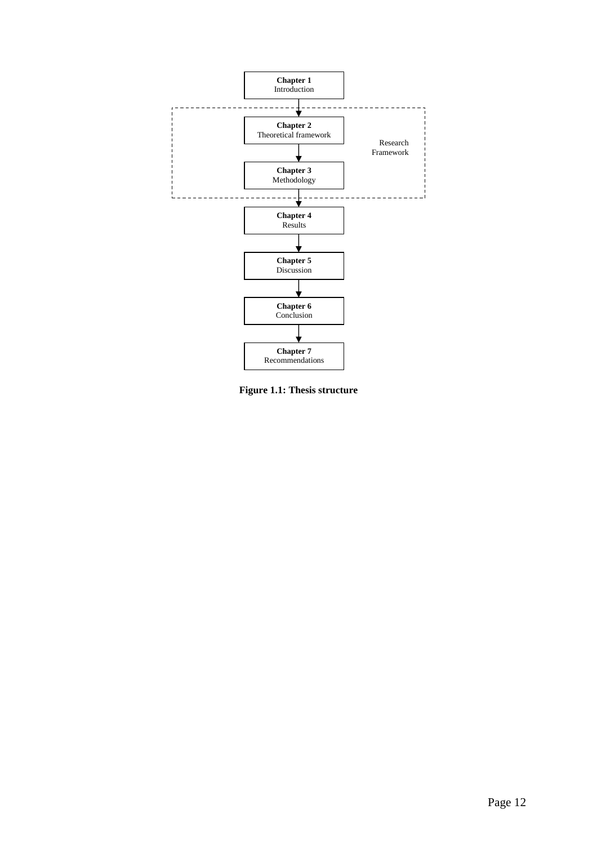

**Figure 1.1: Thesis structure**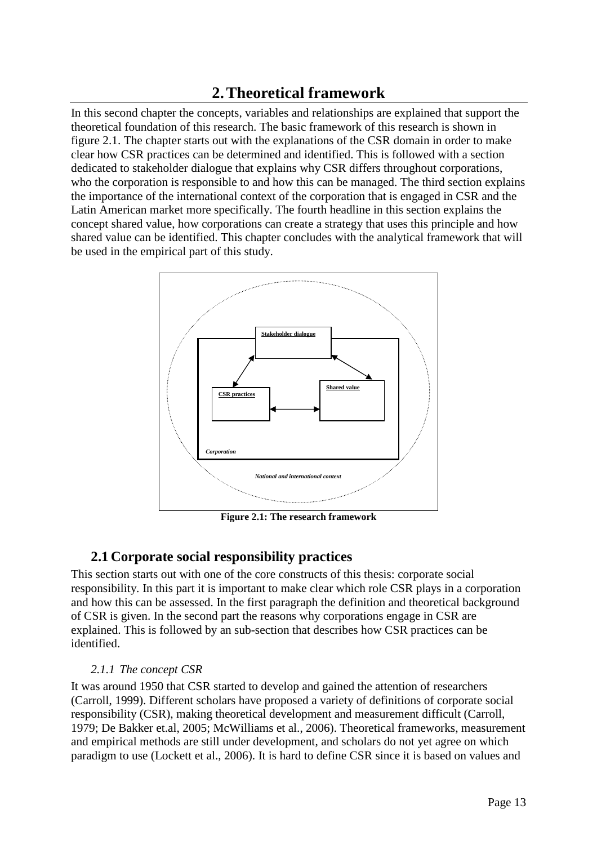## **2.Theoretical framework**

In this second chapter the concepts, variables and relationships are explained that support the theoretical foundation of this research. The basic framework of this research is shown in figure 2.1. The chapter starts out with the explanations of the CSR domain in order to make clear how CSR practices can be determined and identified. This is followed with a section dedicated to stakeholder dialogue that explains why CSR differs throughout corporations, who the corporation is responsible to and how this can be managed. The third section explains the importance of the international context of the corporation that is engaged in CSR and the Latin American market more specifically. The fourth headline in this section explains the concept shared value, how corporations can create a strategy that uses this principle and how shared value can be identified. This chapter concludes with the analytical framework that will be used in the empirical part of this study.



**Figure 2.1: The research framework** 

## **2.1 Corporate social responsibility practices**

This section starts out with one of the core constructs of this thesis: corporate social responsibility. In this part it is important to make clear which role CSR plays in a corporation and how this can be assessed. In the first paragraph the definition and theoretical background of CSR is given. In the second part the reasons why corporations engage in CSR are explained. This is followed by an sub-section that describes how CSR practices can be identified.

#### *2.1.1 The concept CSR*

It was around 1950 that CSR started to develop and gained the attention of researchers (Carroll, 1999). Different scholars have proposed a variety of definitions of corporate social responsibility (CSR), making theoretical development and measurement difficult (Carroll, 1979; De Bakker et.al, 2005; McWilliams et al., 2006). Theoretical frameworks, measurement and empirical methods are still under development, and scholars do not yet agree on which paradigm to use (Lockett et al., 2006). It is hard to define CSR since it is based on values and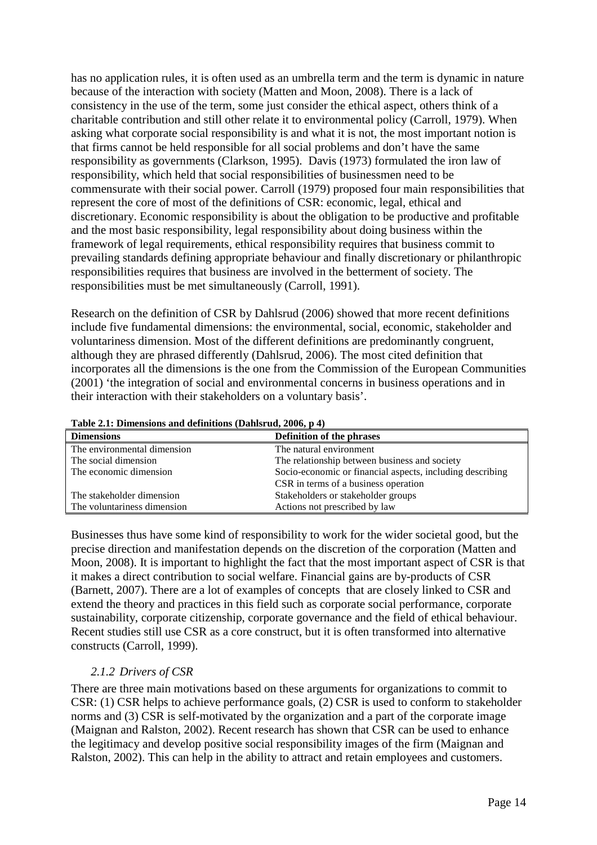has no application rules, it is often used as an umbrella term and the term is dynamic in nature because of the interaction with society (Matten and Moon, 2008). There is a lack of consistency in the use of the term, some just consider the ethical aspect, others think of a charitable contribution and still other relate it to environmental policy (Carroll, 1979). When asking what corporate social responsibility is and what it is not, the most important notion is that firms cannot be held responsible for all social problems and don't have the same responsibility as governments (Clarkson, 1995). Davis (1973) formulated the iron law of responsibility, which held that social responsibilities of businessmen need to be commensurate with their social power. Carroll (1979) proposed four main responsibilities that represent the core of most of the definitions of CSR: economic, legal, ethical and discretionary. Economic responsibility is about the obligation to be productive and profitable and the most basic responsibility, legal responsibility about doing business within the framework of legal requirements, ethical responsibility requires that business commit to prevailing standards defining appropriate behaviour and finally discretionary or philanthropic responsibilities requires that business are involved in the betterment of society. The responsibilities must be met simultaneously (Carroll, 1991).

Research on the definition of CSR by Dahlsrud (2006) showed that more recent definitions include five fundamental dimensions: the environmental, social, economic, stakeholder and voluntariness dimension. Most of the different definitions are predominantly congruent, although they are phrased differently (Dahlsrud, 2006). The most cited definition that incorporates all the dimensions is the one from the Commission of the European Communities (2001) 'the integration of social and environmental concerns in business operations and in their interaction with their stakeholders on a voluntary basis'.

| <b>Dimensions</b>           | Definition of the phrases                                 |
|-----------------------------|-----------------------------------------------------------|
| The environmental dimension | The natural environment                                   |
| The social dimension        | The relationship between business and society             |
| The economic dimension      | Socio-economic or financial aspects, including describing |
|                             | CSR in terms of a business operation                      |
| The stakeholder dimension   | Stakeholders or stakeholder groups                        |
| The voluntariness dimension | Actions not prescribed by law                             |

**Table 2.1: Dimensions and definitions (Dahlsrud, 2006, p 4)** 

Businesses thus have some kind of responsibility to work for the wider societal good, but the precise direction and manifestation depends on the discretion of the corporation (Matten and Moon, 2008). It is important to highlight the fact that the most important aspect of CSR is that it makes a direct contribution to social welfare. Financial gains are by-products of CSR (Barnett, 2007). There are a lot of examples of concepts that are closely linked to CSR and extend the theory and practices in this field such as corporate social performance, corporate sustainability, corporate citizenship, corporate governance and the field of ethical behaviour. Recent studies still use CSR as a core construct, but it is often transformed into alternative constructs (Carroll, 1999).

#### *2.1.2 Drivers of CSR*

There are three main motivations based on these arguments for organizations to commit to CSR: (1) CSR helps to achieve performance goals, (2) CSR is used to conform to stakeholder norms and (3) CSR is self-motivated by the organization and a part of the corporate image (Maignan and Ralston, 2002). Recent research has shown that CSR can be used to enhance the legitimacy and develop positive social responsibility images of the firm (Maignan and Ralston, 2002). This can help in the ability to attract and retain employees and customers.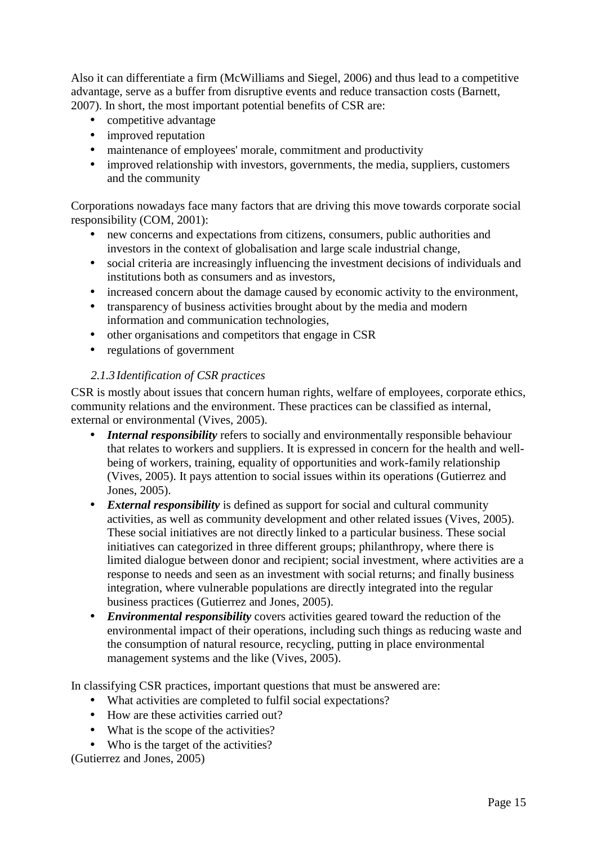Also it can differentiate a firm (McWilliams and Siegel, 2006) and thus lead to a competitive advantage, serve as a buffer from disruptive events and reduce transaction costs (Barnett, 2007). In short, the most important potential benefits of CSR are:

- competitive advantage
- improved reputation
- maintenance of employees' morale, commitment and productivity
- improved relationship with investors, governments, the media, suppliers, customers and the community

Corporations nowadays face many factors that are driving this move towards corporate social responsibility (COM, 2001):

- new concerns and expectations from citizens, consumers, public authorities and investors in the context of globalisation and large scale industrial change,
- social criteria are increasingly influencing the investment decisions of individuals and institutions both as consumers and as investors,
- increased concern about the damage caused by economic activity to the environment,
- transparency of business activities brought about by the media and modern information and communication technologies,
- other organisations and competitors that engage in CSR
- regulations of government

#### *2.1.3 Identification of CSR practices*

CSR is mostly about issues that concern human rights, welfare of employees, corporate ethics, community relations and the environment. These practices can be classified as internal, external or environmental (Vives, 2005).

- *Internal responsibility* refers to socially and environmentally responsible behaviour that relates to workers and suppliers. It is expressed in concern for the health and wellbeing of workers, training, equality of opportunities and work-family relationship (Vives, 2005). It pays attention to social issues within its operations (Gutierrez and Jones, 2005).
- *External responsibility* is defined as support for social and cultural community activities, as well as community development and other related issues (Vives, 2005). These social initiatives are not directly linked to a particular business. These social initiatives can categorized in three different groups; philanthropy, where there is limited dialogue between donor and recipient; social investment, where activities are a response to needs and seen as an investment with social returns; and finally business integration, where vulnerable populations are directly integrated into the regular business practices (Gutierrez and Jones, 2005).
- *Environmental responsibility* covers activities geared toward the reduction of the environmental impact of their operations, including such things as reducing waste and the consumption of natural resource, recycling, putting in place environmental management systems and the like (Vives, 2005).

In classifying CSR practices, important questions that must be answered are:

- What activities are completed to fulfil social expectations?
- How are these activities carried out?
- What is the scope of the activities?
- Who is the target of the activities?

(Gutierrez and Jones, 2005)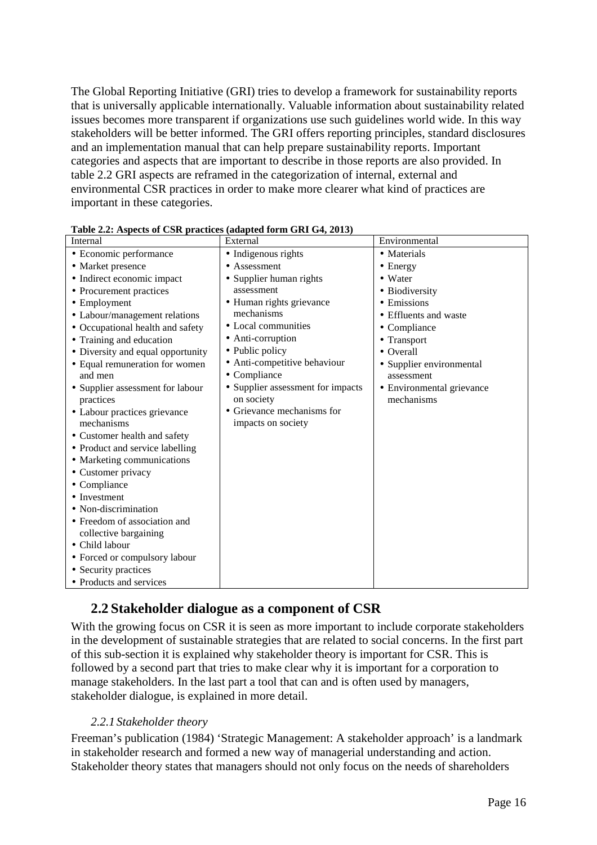The Global Reporting Initiative (GRI) tries to develop a framework for sustainability reports that is universally applicable internationally. Valuable information about sustainability related issues becomes more transparent if organizations use such guidelines world wide. In this way stakeholders will be better informed. The GRI offers reporting principles, standard disclosures and an implementation manual that can help prepare sustainability reports. Important categories and aspects that are important to describe in those reports are also provided. In table 2.2 GRI aspects are reframed in the categorization of internal, external and environmental CSR practices in order to make more clearer what kind of practices are important in these categories.

| Internal                          | External                          | Environmental             |
|-----------------------------------|-----------------------------------|---------------------------|
| • Economic performance            | • Indigenous rights               | • Materials               |
| • Market presence                 | • Assessment                      | $\bullet$ Energy          |
| • Indirect economic impact        | • Supplier human rights           | • Water                   |
| • Procurement practices           | assessment                        | • Biodiversity            |
| • Employment                      | • Human rights grievance          | • Emissions               |
| • Labour/management relations     | mechanisms                        | • Effluents and waste     |
| • Occupational health and safety  | • Local communities               | • Compliance              |
| • Training and education          | • Anti-corruption                 | • Transport               |
| • Diversity and equal opportunity | • Public policy                   | $\bullet$ Overall         |
| • Equal remuneration for women    | • Anti-competitive behaviour      | • Supplier environmental  |
| and men                           | • Compliance                      | assessment                |
| • Supplier assessment for labour  | • Supplier assessment for impacts | • Environmental grievance |
| practices                         | on society                        | mechanisms                |
| • Labour practices grievance      | • Grievance mechanisms for        |                           |
| mechanisms                        | impacts on society                |                           |
| • Customer health and safety      |                                   |                           |
| • Product and service labelling   |                                   |                           |
| • Marketing communications        |                                   |                           |
| • Customer privacy                |                                   |                           |
| • Compliance                      |                                   |                           |
| $\bullet$ Investment              |                                   |                           |
| · Non-discrimination              |                                   |                           |
| • Freedom of association and      |                                   |                           |
| collective bargaining             |                                   |                           |
| • Child labour                    |                                   |                           |
| • Forced or compulsory labour     |                                   |                           |
| • Security practices              |                                   |                           |
| • Products and services           |                                   |                           |

**Table 2.2: Aspects of CSR practices (adapted form GRI G4, 2013)** 

## **2.2 Stakeholder dialogue as a component of CSR**

With the growing focus on CSR it is seen as more important to include corporate stakeholders in the development of sustainable strategies that are related to social concerns. In the first part of this sub-section it is explained why stakeholder theory is important for CSR. This is followed by a second part that tries to make clear why it is important for a corporation to manage stakeholders. In the last part a tool that can and is often used by managers, stakeholder dialogue, is explained in more detail.

#### *2.2.1 Stakeholder theory*

Freeman's publication (1984) 'Strategic Management: A stakeholder approach' is a landmark in stakeholder research and formed a new way of managerial understanding and action. Stakeholder theory states that managers should not only focus on the needs of shareholders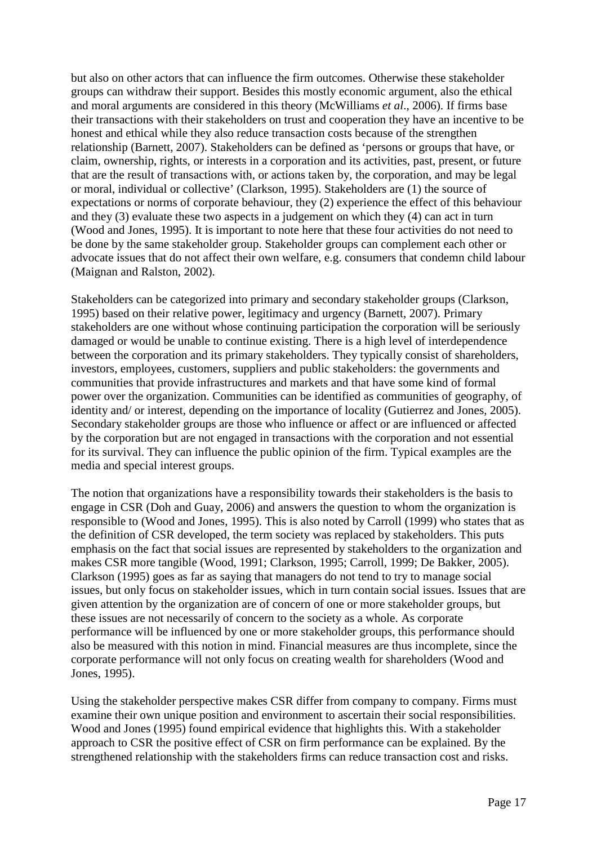but also on other actors that can influence the firm outcomes. Otherwise these stakeholder groups can withdraw their support. Besides this mostly economic argument, also the ethical and moral arguments are considered in this theory (McWilliams *et al*., 2006). If firms base their transactions with their stakeholders on trust and cooperation they have an incentive to be honest and ethical while they also reduce transaction costs because of the strengthen relationship (Barnett, 2007). Stakeholders can be defined as 'persons or groups that have, or claim, ownership, rights, or interests in a corporation and its activities, past, present, or future that are the result of transactions with, or actions taken by, the corporation, and may be legal or moral, individual or collective' (Clarkson, 1995). Stakeholders are (1) the source of expectations or norms of corporate behaviour, they (2) experience the effect of this behaviour and they (3) evaluate these two aspects in a judgement on which they (4) can act in turn (Wood and Jones, 1995). It is important to note here that these four activities do not need to be done by the same stakeholder group. Stakeholder groups can complement each other or advocate issues that do not affect their own welfare, e.g. consumers that condemn child labour (Maignan and Ralston, 2002).

Stakeholders can be categorized into primary and secondary stakeholder groups (Clarkson, 1995) based on their relative power, legitimacy and urgency (Barnett, 2007). Primary stakeholders are one without whose continuing participation the corporation will be seriously damaged or would be unable to continue existing. There is a high level of interdependence between the corporation and its primary stakeholders. They typically consist of shareholders, investors, employees, customers, suppliers and public stakeholders: the governments and communities that provide infrastructures and markets and that have some kind of formal power over the organization. Communities can be identified as communities of geography, of identity and/ or interest, depending on the importance of locality (Gutierrez and Jones, 2005). Secondary stakeholder groups are those who influence or affect or are influenced or affected by the corporation but are not engaged in transactions with the corporation and not essential for its survival. They can influence the public opinion of the firm. Typical examples are the media and special interest groups.

The notion that organizations have a responsibility towards their stakeholders is the basis to engage in CSR (Doh and Guay, 2006) and answers the question to whom the organization is responsible to (Wood and Jones, 1995). This is also noted by Carroll (1999) who states that as the definition of CSR developed, the term society was replaced by stakeholders. This puts emphasis on the fact that social issues are represented by stakeholders to the organization and makes CSR more tangible (Wood, 1991; Clarkson, 1995; Carroll, 1999; De Bakker, 2005). Clarkson (1995) goes as far as saying that managers do not tend to try to manage social issues, but only focus on stakeholder issues, which in turn contain social issues. Issues that are given attention by the organization are of concern of one or more stakeholder groups, but these issues are not necessarily of concern to the society as a whole. As corporate performance will be influenced by one or more stakeholder groups, this performance should also be measured with this notion in mind. Financial measures are thus incomplete, since the corporate performance will not only focus on creating wealth for shareholders (Wood and Jones, 1995).

Using the stakeholder perspective makes CSR differ from company to company. Firms must examine their own unique position and environment to ascertain their social responsibilities. Wood and Jones (1995) found empirical evidence that highlights this. With a stakeholder approach to CSR the positive effect of CSR on firm performance can be explained. By the strengthened relationship with the stakeholders firms can reduce transaction cost and risks.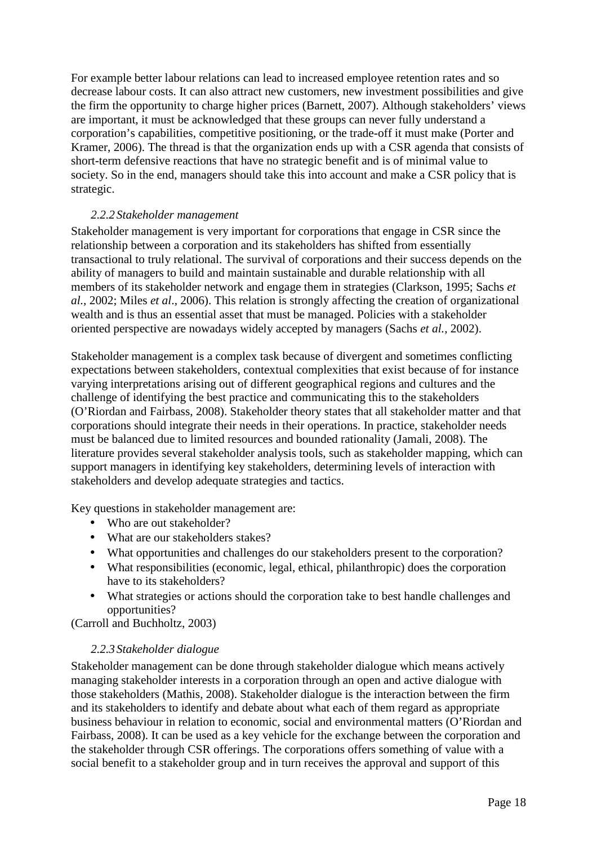For example better labour relations can lead to increased employee retention rates and so decrease labour costs. It can also attract new customers, new investment possibilities and give the firm the opportunity to charge higher prices (Barnett, 2007). Although stakeholders' views are important, it must be acknowledged that these groups can never fully understand a corporation's capabilities, competitive positioning, or the trade-off it must make (Porter and Kramer, 2006). The thread is that the organization ends up with a CSR agenda that consists of short-term defensive reactions that have no strategic benefit and is of minimal value to society. So in the end, managers should take this into account and make a CSR policy that is strategic.

#### *2.2.2 Stakeholder management*

Stakeholder management is very important for corporations that engage in CSR since the relationship between a corporation and its stakeholders has shifted from essentially transactional to truly relational. The survival of corporations and their success depends on the ability of managers to build and maintain sustainable and durable relationship with all members of its stakeholder network and engage them in strategies (Clarkson, 1995; Sachs *et al.,* 2002; Miles *et al*., 2006). This relation is strongly affecting the creation of organizational wealth and is thus an essential asset that must be managed. Policies with a stakeholder oriented perspective are nowadays widely accepted by managers (Sachs *et al.,* 2002).

Stakeholder management is a complex task because of divergent and sometimes conflicting expectations between stakeholders, contextual complexities that exist because of for instance varying interpretations arising out of different geographical regions and cultures and the challenge of identifying the best practice and communicating this to the stakeholders (O'Riordan and Fairbass, 2008). Stakeholder theory states that all stakeholder matter and that corporations should integrate their needs in their operations. In practice, stakeholder needs must be balanced due to limited resources and bounded rationality (Jamali, 2008). The literature provides several stakeholder analysis tools, such as stakeholder mapping, which can support managers in identifying key stakeholders, determining levels of interaction with stakeholders and develop adequate strategies and tactics.

Key questions in stakeholder management are:

- Who are out stakeholder?
- What are our stakeholders stakes?
- What opportunities and challenges do our stakeholders present to the corporation?
- What responsibilities (economic, legal, ethical, philanthropic) does the corporation have to its stakeholders?
- What strategies or actions should the corporation take to best handle challenges and opportunities?

(Carroll and Buchholtz, 2003)

#### *2.2.3 Stakeholder dialogue*

Stakeholder management can be done through stakeholder dialogue which means actively managing stakeholder interests in a corporation through an open and active dialogue with those stakeholders (Mathis, 2008). Stakeholder dialogue is the interaction between the firm and its stakeholders to identify and debate about what each of them regard as appropriate business behaviour in relation to economic, social and environmental matters (O'Riordan and Fairbass, 2008). It can be used as a key vehicle for the exchange between the corporation and the stakeholder through CSR offerings. The corporations offers something of value with a social benefit to a stakeholder group and in turn receives the approval and support of this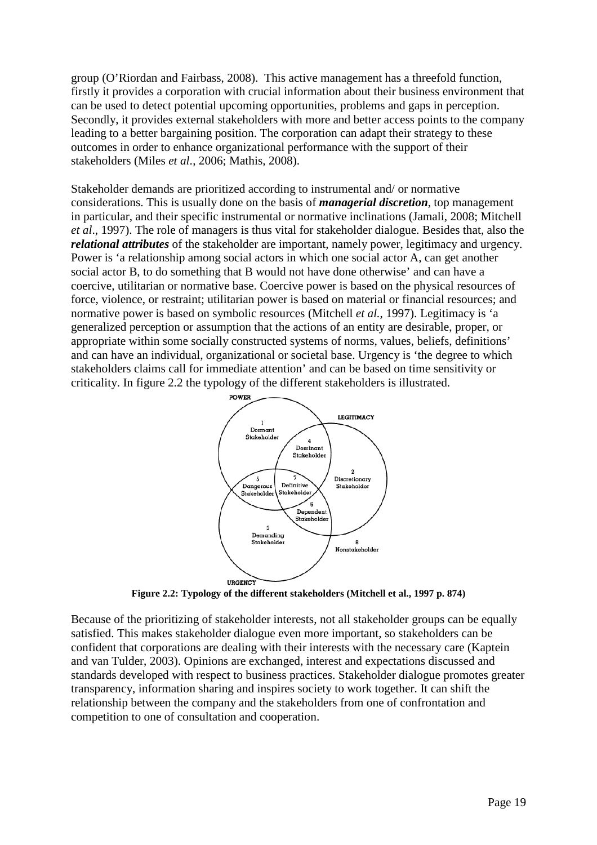group (O'Riordan and Fairbass, 2008). This active management has a threefold function, firstly it provides a corporation with crucial information about their business environment that can be used to detect potential upcoming opportunities, problems and gaps in perception. Secondly, it provides external stakeholders with more and better access points to the company leading to a better bargaining position. The corporation can adapt their strategy to these outcomes in order to enhance organizational performance with the support of their stakeholders (Miles *et al*., 2006; Mathis, 2008).

Stakeholder demands are prioritized according to instrumental and/ or normative considerations. This is usually done on the basis of *managerial discretion*, top management in particular, and their specific instrumental or normative inclinations (Jamali, 2008; Mitchell *et al*., 1997). The role of managers is thus vital for stakeholder dialogue. Besides that, also the *relational attributes* of the stakeholder are important, namely power, legitimacy and urgency. Power is 'a relationship among social actors in which one social actor A, can get another social actor B, to do something that B would not have done otherwise' and can have a coercive, utilitarian or normative base. Coercive power is based on the physical resources of force, violence, or restraint; utilitarian power is based on material or financial resources; and normative power is based on symbolic resources (Mitchell *et al.*, 1997). Legitimacy is 'a generalized perception or assumption that the actions of an entity are desirable, proper, or appropriate within some socially constructed systems of norms, values, beliefs, definitions' and can have an individual, organizational or societal base. Urgency is 'the degree to which stakeholders claims call for immediate attention' and can be based on time sensitivity or criticality. In figure 2.2 the typology of the different stakeholders is illustrated.



**Figure 2.2: Typology of the different stakeholders (Mitchell et al., 1997 p. 874)** 

Because of the prioritizing of stakeholder interests, not all stakeholder groups can be equally satisfied. This makes stakeholder dialogue even more important, so stakeholders can be confident that corporations are dealing with their interests with the necessary care (Kaptein and van Tulder, 2003). Opinions are exchanged, interest and expectations discussed and standards developed with respect to business practices. Stakeholder dialogue promotes greater transparency, information sharing and inspires society to work together. It can shift the relationship between the company and the stakeholders from one of confrontation and competition to one of consultation and cooperation.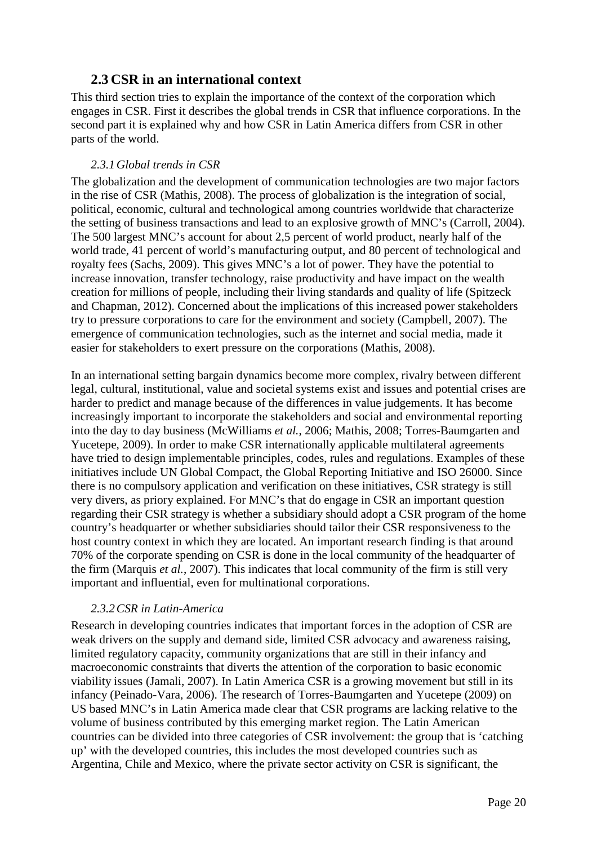## **2.3 CSR in an international context**

This third section tries to explain the importance of the context of the corporation which engages in CSR. First it describes the global trends in CSR that influence corporations. In the second part it is explained why and how CSR in Latin America differs from CSR in other parts of the world.

#### *2.3.1Global trends in CSR*

The globalization and the development of communication technologies are two major factors in the rise of CSR (Mathis, 2008). The process of globalization is the integration of social, political, economic, cultural and technological among countries worldwide that characterize the setting of business transactions and lead to an explosive growth of MNC's (Carroll, 2004). The 500 largest MNC's account for about 2,5 percent of world product, nearly half of the world trade, 41 percent of world's manufacturing output, and 80 percent of technological and royalty fees (Sachs, 2009). This gives MNC's a lot of power. They have the potential to increase innovation, transfer technology, raise productivity and have impact on the wealth creation for millions of people, including their living standards and quality of life (Spitzeck and Chapman, 2012). Concerned about the implications of this increased power stakeholders try to pressure corporations to care for the environment and society (Campbell, 2007). The emergence of communication technologies, such as the internet and social media, made it easier for stakeholders to exert pressure on the corporations (Mathis, 2008).

In an international setting bargain dynamics become more complex, rivalry between different legal, cultural, institutional, value and societal systems exist and issues and potential crises are harder to predict and manage because of the differences in value judgements. It has become increasingly important to incorporate the stakeholders and social and environmental reporting into the day to day business (McWilliams *et al.*, 2006; Mathis, 2008; Torres-Baumgarten and Yucetepe, 2009). In order to make CSR internationally applicable multilateral agreements have tried to design implementable principles, codes, rules and regulations. Examples of these initiatives include UN Global Compact, the Global Reporting Initiative and ISO 26000. Since there is no compulsory application and verification on these initiatives, CSR strategy is still very divers, as priory explained. For MNC's that do engage in CSR an important question regarding their CSR strategy is whether a subsidiary should adopt a CSR program of the home country's headquarter or whether subsidiaries should tailor their CSR responsiveness to the host country context in which they are located. An important research finding is that around 70% of the corporate spending on CSR is done in the local community of the headquarter of the firm (Marquis *et al.*, 2007). This indicates that local community of the firm is still very important and influential, even for multinational corporations.

#### *2.3.2CSR in Latin-America*

Research in developing countries indicates that important forces in the adoption of CSR are weak drivers on the supply and demand side, limited CSR advocacy and awareness raising, limited regulatory capacity, community organizations that are still in their infancy and macroeconomic constraints that diverts the attention of the corporation to basic economic viability issues (Jamali, 2007). In Latin America CSR is a growing movement but still in its infancy (Peinado-Vara, 2006). The research of Torres-Baumgarten and Yucetepe (2009) on US based MNC's in Latin America made clear that CSR programs are lacking relative to the volume of business contributed by this emerging market region. The Latin American countries can be divided into three categories of CSR involvement: the group that is 'catching up' with the developed countries, this includes the most developed countries such as Argentina, Chile and Mexico, where the private sector activity on CSR is significant, the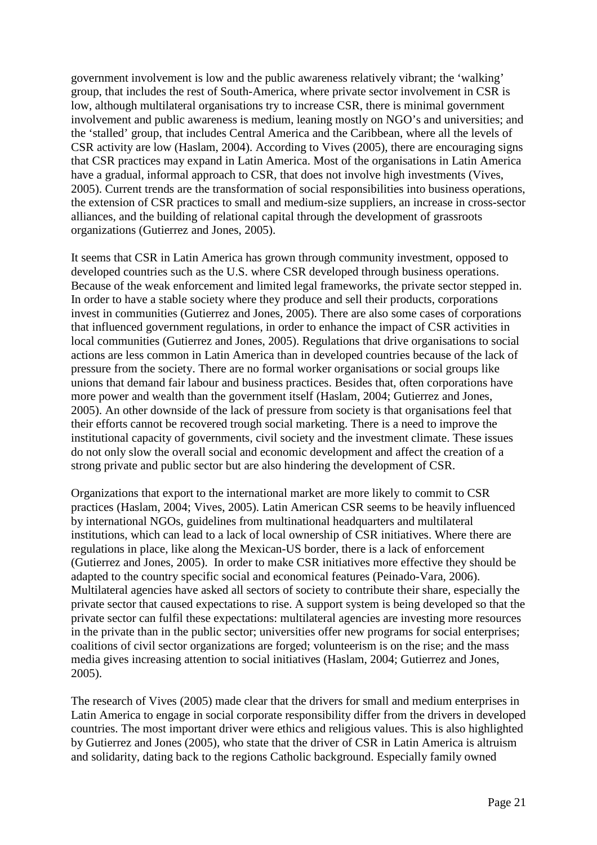government involvement is low and the public awareness relatively vibrant; the 'walking' group, that includes the rest of South-America, where private sector involvement in CSR is low, although multilateral organisations try to increase CSR, there is minimal government involvement and public awareness is medium, leaning mostly on NGO's and universities; and the 'stalled' group, that includes Central America and the Caribbean, where all the levels of CSR activity are low (Haslam, 2004). According to Vives (2005), there are encouraging signs that CSR practices may expand in Latin America. Most of the organisations in Latin America have a gradual, informal approach to CSR, that does not involve high investments (Vives, 2005). Current trends are the transformation of social responsibilities into business operations, the extension of CSR practices to small and medium-size suppliers, an increase in cross-sector alliances, and the building of relational capital through the development of grassroots organizations (Gutierrez and Jones, 2005).

It seems that CSR in Latin America has grown through community investment, opposed to developed countries such as the U.S. where CSR developed through business operations. Because of the weak enforcement and limited legal frameworks, the private sector stepped in. In order to have a stable society where they produce and sell their products, corporations invest in communities (Gutierrez and Jones, 2005). There are also some cases of corporations that influenced government regulations, in order to enhance the impact of CSR activities in local communities (Gutierrez and Jones, 2005). Regulations that drive organisations to social actions are less common in Latin America than in developed countries because of the lack of pressure from the society. There are no formal worker organisations or social groups like unions that demand fair labour and business practices. Besides that, often corporations have more power and wealth than the government itself (Haslam, 2004; Gutierrez and Jones, 2005). An other downside of the lack of pressure from society is that organisations feel that their efforts cannot be recovered trough social marketing. There is a need to improve the institutional capacity of governments, civil society and the investment climate. These issues do not only slow the overall social and economic development and affect the creation of a strong private and public sector but are also hindering the development of CSR.

Organizations that export to the international market are more likely to commit to CSR practices (Haslam, 2004; Vives, 2005). Latin American CSR seems to be heavily influenced by international NGOs, guidelines from multinational headquarters and multilateral institutions, which can lead to a lack of local ownership of CSR initiatives. Where there are regulations in place, like along the Mexican-US border, there is a lack of enforcement (Gutierrez and Jones, 2005). In order to make CSR initiatives more effective they should be adapted to the country specific social and economical features (Peinado-Vara, 2006). Multilateral agencies have asked all sectors of society to contribute their share, especially the private sector that caused expectations to rise. A support system is being developed so that the private sector can fulfil these expectations: multilateral agencies are investing more resources in the private than in the public sector; universities offer new programs for social enterprises; coalitions of civil sector organizations are forged; volunteerism is on the rise; and the mass media gives increasing attention to social initiatives (Haslam, 2004; Gutierrez and Jones, 2005).

The research of Vives (2005) made clear that the drivers for small and medium enterprises in Latin America to engage in social corporate responsibility differ from the drivers in developed countries. The most important driver were ethics and religious values. This is also highlighted by Gutierrez and Jones (2005), who state that the driver of CSR in Latin America is altruism and solidarity, dating back to the regions Catholic background. Especially family owned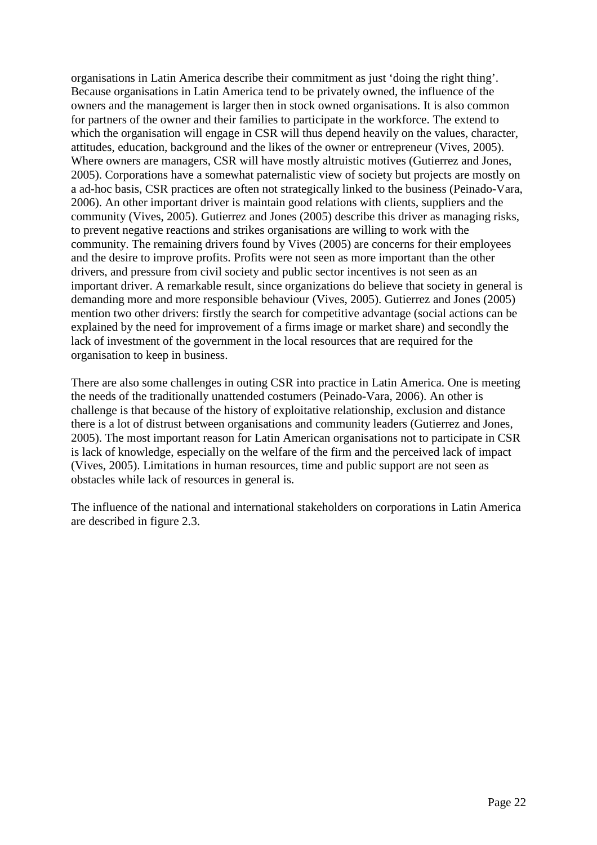organisations in Latin America describe their commitment as just 'doing the right thing'. Because organisations in Latin America tend to be privately owned, the influence of the owners and the management is larger then in stock owned organisations. It is also common for partners of the owner and their families to participate in the workforce. The extend to which the organisation will engage in CSR will thus depend heavily on the values, character, attitudes, education, background and the likes of the owner or entrepreneur (Vives, 2005). Where owners are managers, CSR will have mostly altruistic motives (Gutierrez and Jones, 2005). Corporations have a somewhat paternalistic view of society but projects are mostly on a ad-hoc basis, CSR practices are often not strategically linked to the business (Peinado-Vara, 2006). An other important driver is maintain good relations with clients, suppliers and the community (Vives, 2005). Gutierrez and Jones (2005) describe this driver as managing risks, to prevent negative reactions and strikes organisations are willing to work with the community. The remaining drivers found by Vives (2005) are concerns for their employees and the desire to improve profits. Profits were not seen as more important than the other drivers, and pressure from civil society and public sector incentives is not seen as an important driver. A remarkable result, since organizations do believe that society in general is demanding more and more responsible behaviour (Vives, 2005). Gutierrez and Jones (2005) mention two other drivers: firstly the search for competitive advantage (social actions can be explained by the need for improvement of a firms image or market share) and secondly the lack of investment of the government in the local resources that are required for the organisation to keep in business.

There are also some challenges in outing CSR into practice in Latin America. One is meeting the needs of the traditionally unattended costumers (Peinado-Vara, 2006). An other is challenge is that because of the history of exploitative relationship, exclusion and distance there is a lot of distrust between organisations and community leaders (Gutierrez and Jones, 2005). The most important reason for Latin American organisations not to participate in CSR is lack of knowledge, especially on the welfare of the firm and the perceived lack of impact (Vives, 2005). Limitations in human resources, time and public support are not seen as obstacles while lack of resources in general is.

The influence of the national and international stakeholders on corporations in Latin America are described in figure 2.3.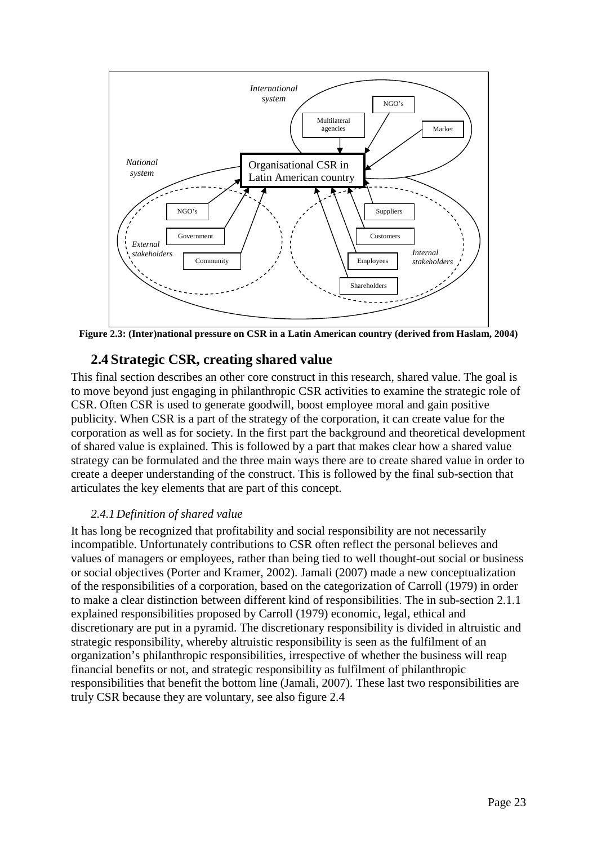

**Figure 2.3: (Inter)national pressure on CSR in a Latin American country (derived from Haslam, 2004)** 

### **2.4 Strategic CSR, creating shared value**

This final section describes an other core construct in this research, shared value. The goal is to move beyond just engaging in philanthropic CSR activities to examine the strategic role of CSR. Often CSR is used to generate goodwill, boost employee moral and gain positive publicity. When CSR is a part of the strategy of the corporation, it can create value for the corporation as well as for society. In the first part the background and theoretical development of shared value is explained. This is followed by a part that makes clear how a shared value strategy can be formulated and the three main ways there are to create shared value in order to create a deeper understanding of the construct. This is followed by the final sub-section that articulates the key elements that are part of this concept.

#### *2.4.1Definition of shared value*

It has long be recognized that profitability and social responsibility are not necessarily incompatible. Unfortunately contributions to CSR often reflect the personal believes and values of managers or employees, rather than being tied to well thought-out social or business or social objectives (Porter and Kramer, 2002). Jamali (2007) made a new conceptualization of the responsibilities of a corporation, based on the categorization of Carroll (1979) in order to make a clear distinction between different kind of responsibilities. The in sub-section 2.1.1 explained responsibilities proposed by Carroll (1979) economic, legal, ethical and discretionary are put in a pyramid. The discretionary responsibility is divided in altruistic and strategic responsibility, whereby altruistic responsibility is seen as the fulfilment of an organization's philanthropic responsibilities, irrespective of whether the business will reap financial benefits or not, and strategic responsibility as fulfilment of philanthropic responsibilities that benefit the bottom line (Jamali, 2007). These last two responsibilities are truly CSR because they are voluntary, see also figure 2.4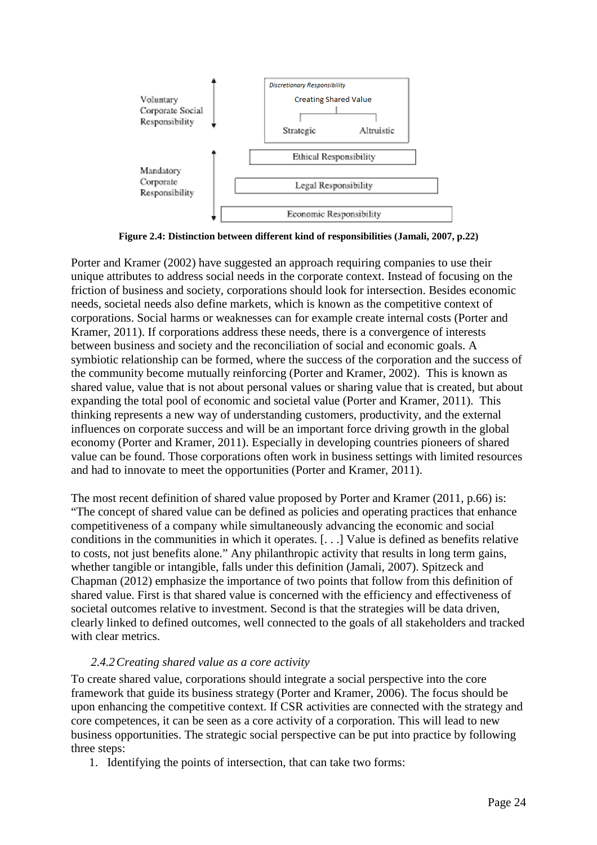

**Figure 2.4: Distinction between different kind of responsibilities (Jamali, 2007, p.22)** 

Porter and Kramer (2002) have suggested an approach requiring companies to use their unique attributes to address social needs in the corporate context. Instead of focusing on the friction of business and society, corporations should look for intersection. Besides economic needs, societal needs also define markets, which is known as the competitive context of corporations. Social harms or weaknesses can for example create internal costs (Porter and Kramer, 2011). If corporations address these needs, there is a convergence of interests between business and society and the reconciliation of social and economic goals. A symbiotic relationship can be formed, where the success of the corporation and the success of the community become mutually reinforcing (Porter and Kramer, 2002). This is known as shared value, value that is not about personal values or sharing value that is created, but about expanding the total pool of economic and societal value (Porter and Kramer, 2011). This thinking represents a new way of understanding customers, productivity, and the external influences on corporate success and will be an important force driving growth in the global economy (Porter and Kramer, 2011). Especially in developing countries pioneers of shared value can be found. Those corporations often work in business settings with limited resources and had to innovate to meet the opportunities (Porter and Kramer, 2011).

The most recent definition of shared value proposed by Porter and Kramer (2011, p.66) is: "The concept of shared value can be defined as policies and operating practices that enhance competitiveness of a company while simultaneously advancing the economic and social conditions in the communities in which it operates. [. . .] Value is defined as benefits relative to costs, not just benefits alone." Any philanthropic activity that results in long term gains, whether tangible or intangible, falls under this definition (Jamali, 2007). Spitzeck and Chapman (2012) emphasize the importance of two points that follow from this definition of shared value. First is that shared value is concerned with the efficiency and effectiveness of societal outcomes relative to investment. Second is that the strategies will be data driven, clearly linked to defined outcomes, well connected to the goals of all stakeholders and tracked with clear metrics.

#### *2.4.2Creating shared value as a core activity*

To create shared value, corporations should integrate a social perspective into the core framework that guide its business strategy (Porter and Kramer, 2006). The focus should be upon enhancing the competitive context. If CSR activities are connected with the strategy and core competences, it can be seen as a core activity of a corporation. This will lead to new business opportunities. The strategic social perspective can be put into practice by following three steps:

1. Identifying the points of intersection, that can take two forms: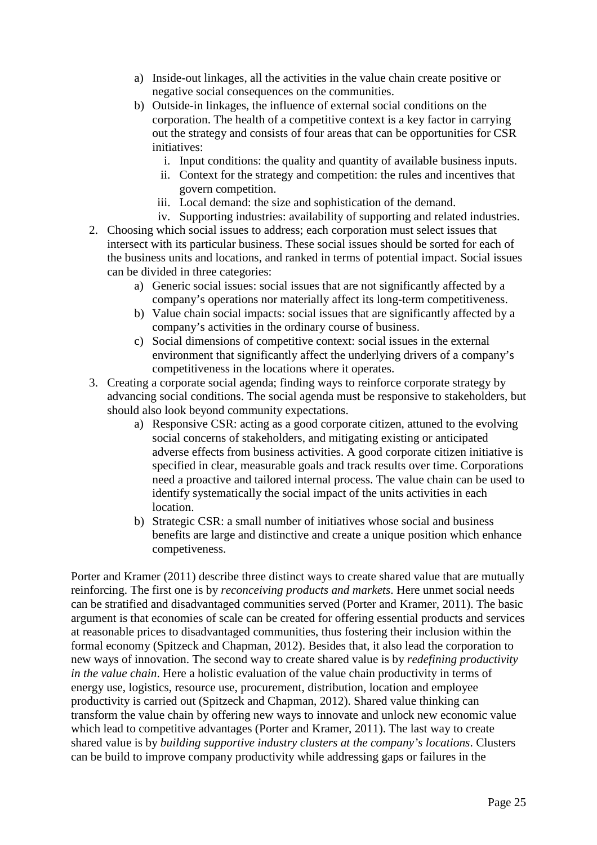- a) Inside-out linkages, all the activities in the value chain create positive or negative social consequences on the communities.
- b) Outside-in linkages, the influence of external social conditions on the corporation. The health of a competitive context is a key factor in carrying out the strategy and consists of four areas that can be opportunities for CSR initiatives:
	- i. Input conditions: the quality and quantity of available business inputs.
	- ii. Context for the strategy and competition: the rules and incentives that govern competition.
	- iii. Local demand: the size and sophistication of the demand.
	- iv. Supporting industries: availability of supporting and related industries.
- 2. Choosing which social issues to address; each corporation must select issues that intersect with its particular business. These social issues should be sorted for each of the business units and locations, and ranked in terms of potential impact. Social issues can be divided in three categories:
	- a) Generic social issues: social issues that are not significantly affected by a company's operations nor materially affect its long-term competitiveness.
	- b) Value chain social impacts: social issues that are significantly affected by a company's activities in the ordinary course of business.
	- c) Social dimensions of competitive context: social issues in the external environment that significantly affect the underlying drivers of a company's competitiveness in the locations where it operates.
- 3. Creating a corporate social agenda; finding ways to reinforce corporate strategy by advancing social conditions. The social agenda must be responsive to stakeholders, but should also look beyond community expectations.
	- a) Responsive CSR: acting as a good corporate citizen, attuned to the evolving social concerns of stakeholders, and mitigating existing or anticipated adverse effects from business activities. A good corporate citizen initiative is specified in clear, measurable goals and track results over time. Corporations need a proactive and tailored internal process. The value chain can be used to identify systematically the social impact of the units activities in each location.
	- b) Strategic CSR: a small number of initiatives whose social and business benefits are large and distinctive and create a unique position which enhance competiveness.

Porter and Kramer (2011) describe three distinct ways to create shared value that are mutually reinforcing. The first one is by *reconceiving products and markets*. Here unmet social needs can be stratified and disadvantaged communities served (Porter and Kramer, 2011). The basic argument is that economies of scale can be created for offering essential products and services at reasonable prices to disadvantaged communities, thus fostering their inclusion within the formal economy (Spitzeck and Chapman, 2012). Besides that, it also lead the corporation to new ways of innovation. The second way to create shared value is by *redefining productivity in the value chain*. Here a holistic evaluation of the value chain productivity in terms of energy use, logistics, resource use, procurement, distribution, location and employee productivity is carried out (Spitzeck and Chapman, 2012). Shared value thinking can transform the value chain by offering new ways to innovate and unlock new economic value which lead to competitive advantages (Porter and Kramer, 2011). The last way to create shared value is by *building supportive industry clusters at the company's locations*. Clusters can be build to improve company productivity while addressing gaps or failures in the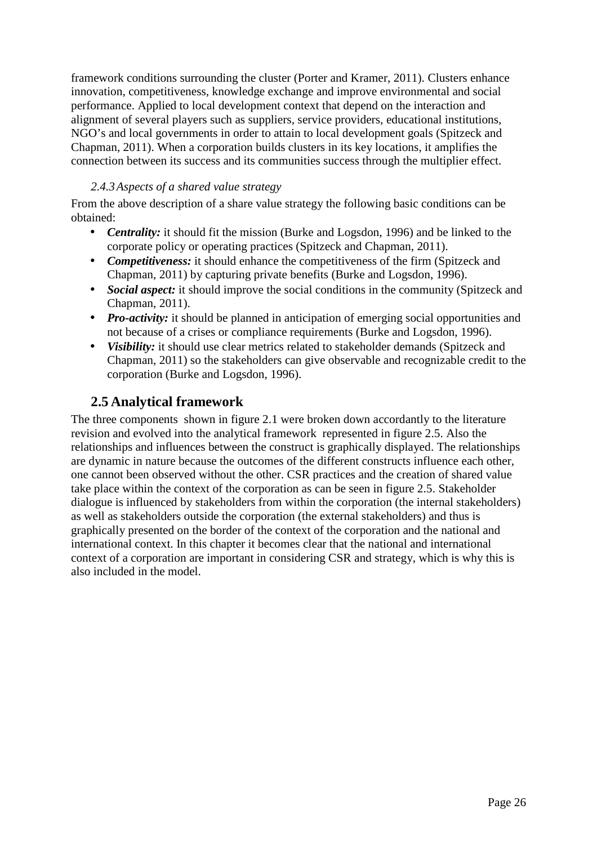framework conditions surrounding the cluster (Porter and Kramer, 2011). Clusters enhance innovation, competitiveness, knowledge exchange and improve environmental and social performance. Applied to local development context that depend on the interaction and alignment of several players such as suppliers, service providers, educational institutions, NGO's and local governments in order to attain to local development goals (Spitzeck and Chapman, 2011). When a corporation builds clusters in its key locations, it amplifies the connection between its success and its communities success through the multiplier effect.

#### *2.4.3Aspects of a shared value strategy*

From the above description of a share value strategy the following basic conditions can be obtained:

- *Centrality:* it should fit the mission (Burke and Logsdon, 1996) and be linked to the corporate policy or operating practices (Spitzeck and Chapman, 2011).
- *Competitiveness:* it should enhance the competitiveness of the firm (Spitzeck and Chapman, 2011) by capturing private benefits (Burke and Logsdon, 1996).
- *Social aspect:* it should improve the social conditions in the community (Spitzeck and Chapman, 2011).
- *Pro-activity:* it should be planned in anticipation of emerging social opportunities and not because of a crises or compliance requirements (Burke and Logsdon, 1996).
- *Visibility:* it should use clear metrics related to stakeholder demands (Spitzeck and Chapman, 2011) so the stakeholders can give observable and recognizable credit to the corporation (Burke and Logsdon, 1996).

## **2.5 Analytical framework**

The three components shown in figure 2.1 were broken down accordantly to the literature revision and evolved into the analytical framework represented in figure 2.5. Also the relationships and influences between the construct is graphically displayed. The relationships are dynamic in nature because the outcomes of the different constructs influence each other, one cannot been observed without the other. CSR practices and the creation of shared value take place within the context of the corporation as can be seen in figure 2.5. Stakeholder dialogue is influenced by stakeholders from within the corporation (the internal stakeholders) as well as stakeholders outside the corporation (the external stakeholders) and thus is graphically presented on the border of the context of the corporation and the national and international context. In this chapter it becomes clear that the national and international context of a corporation are important in considering CSR and strategy, which is why this is also included in the model.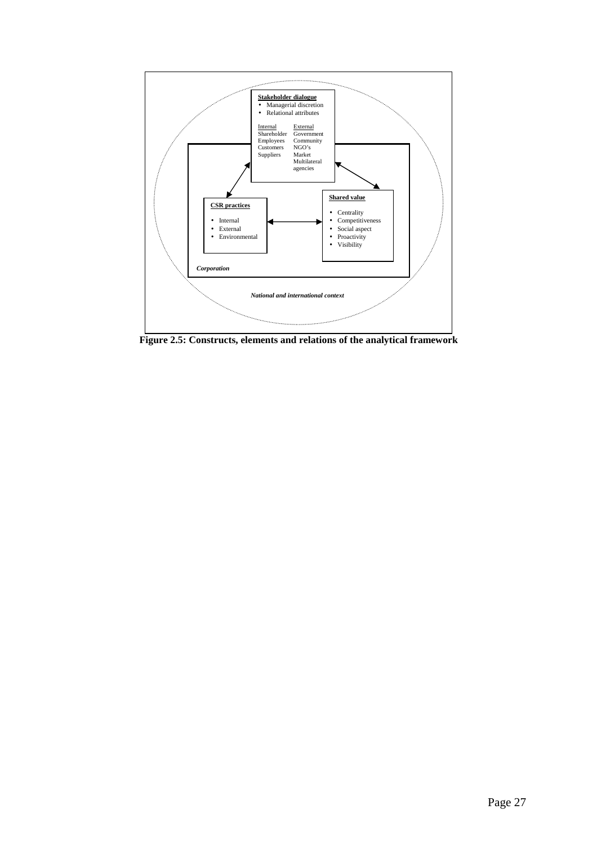

**Figure 2.5: Constructs, elements and relations of the analytical framework**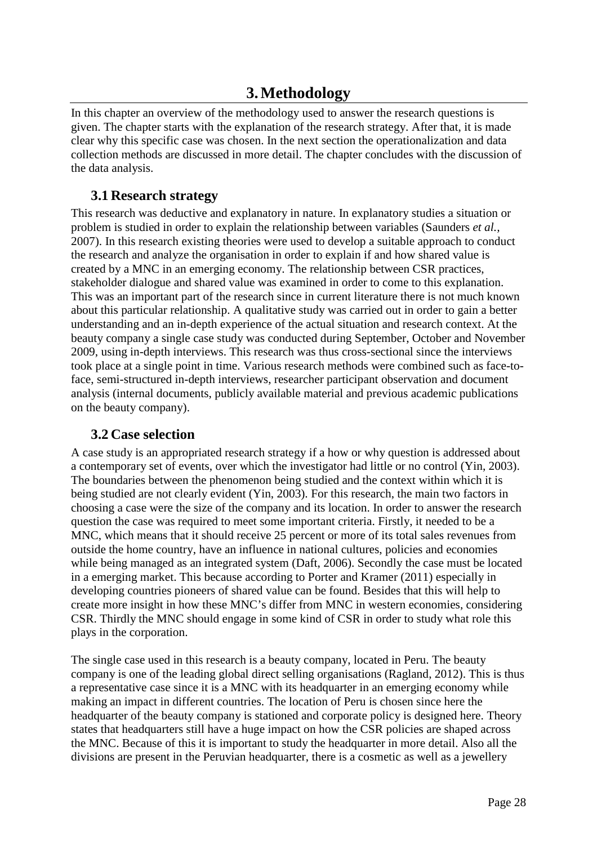## **3.Methodology**

In this chapter an overview of the methodology used to answer the research questions is given. The chapter starts with the explanation of the research strategy. After that, it is made clear why this specific case was chosen. In the next section the operationalization and data collection methods are discussed in more detail. The chapter concludes with the discussion of the data analysis.

## **3.1 Research strategy**

This research was deductive and explanatory in nature. In explanatory studies a situation or problem is studied in order to explain the relationship between variables (Saunders *et al.,* 2007). In this research existing theories were used to develop a suitable approach to conduct the research and analyze the organisation in order to explain if and how shared value is created by a MNC in an emerging economy. The relationship between CSR practices, stakeholder dialogue and shared value was examined in order to come to this explanation. This was an important part of the research since in current literature there is not much known about this particular relationship. A qualitative study was carried out in order to gain a better understanding and an in-depth experience of the actual situation and research context. At the beauty company a single case study was conducted during September, October and November 2009, using in-depth interviews. This research was thus cross-sectional since the interviews took place at a single point in time. Various research methods were combined such as face-toface, semi-structured in-depth interviews, researcher participant observation and document analysis (internal documents, publicly available material and previous academic publications on the beauty company).

## **3.2 Case selection**

A case study is an appropriated research strategy if a how or why question is addressed about a contemporary set of events, over which the investigator had little or no control (Yin, 2003). The boundaries between the phenomenon being studied and the context within which it is being studied are not clearly evident (Yin, 2003). For this research, the main two factors in choosing a case were the size of the company and its location. In order to answer the research question the case was required to meet some important criteria. Firstly, it needed to be a MNC, which means that it should receive 25 percent or more of its total sales revenues from outside the home country, have an influence in national cultures, policies and economies while being managed as an integrated system (Daft, 2006). Secondly the case must be located in a emerging market. This because according to Porter and Kramer (2011) especially in developing countries pioneers of shared value can be found. Besides that this will help to create more insight in how these MNC's differ from MNC in western economies, considering CSR. Thirdly the MNC should engage in some kind of CSR in order to study what role this plays in the corporation.

The single case used in this research is a beauty company, located in Peru. The beauty company is one of the leading global direct selling organisations (Ragland, 2012). This is thus a representative case since it is a MNC with its headquarter in an emerging economy while making an impact in different countries. The location of Peru is chosen since here the headquarter of the beauty company is stationed and corporate policy is designed here. Theory states that headquarters still have a huge impact on how the CSR policies are shaped across the MNC. Because of this it is important to study the headquarter in more detail. Also all the divisions are present in the Peruvian headquarter, there is a cosmetic as well as a jewellery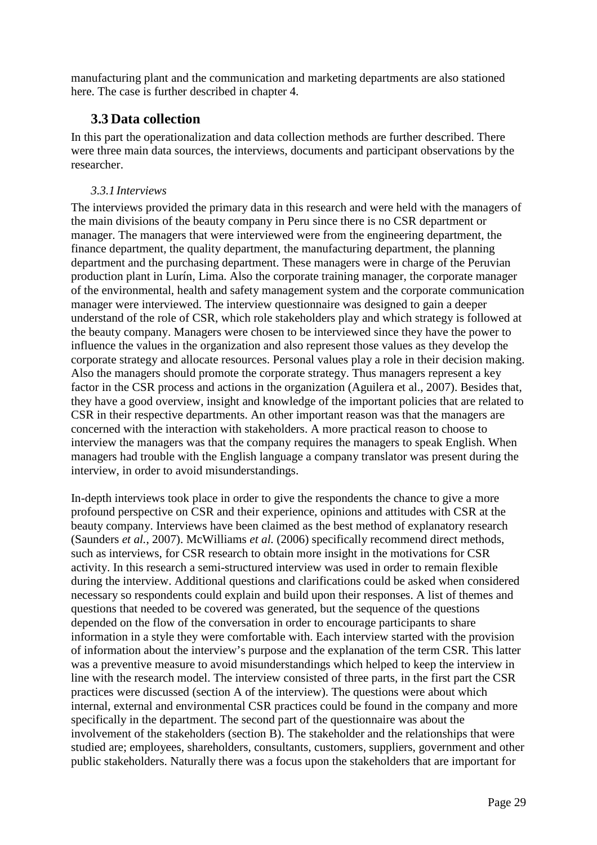manufacturing plant and the communication and marketing departments are also stationed here. The case is further described in chapter 4.

## **3.3 Data collection**

In this part the operationalization and data collection methods are further described. There were three main data sources, the interviews, documents and participant observations by the researcher.

#### *3.3.1 Interviews*

The interviews provided the primary data in this research and were held with the managers of the main divisions of the beauty company in Peru since there is no CSR department or manager. The managers that were interviewed were from the engineering department, the finance department, the quality department, the manufacturing department, the planning department and the purchasing department. These managers were in charge of the Peruvian production plant in Lurín, Lima. Also the corporate training manager, the corporate manager of the environmental, health and safety management system and the corporate communication manager were interviewed. The interview questionnaire was designed to gain a deeper understand of the role of CSR, which role stakeholders play and which strategy is followed at the beauty company. Managers were chosen to be interviewed since they have the power to influence the values in the organization and also represent those values as they develop the corporate strategy and allocate resources. Personal values play a role in their decision making. Also the managers should promote the corporate strategy. Thus managers represent a key factor in the CSR process and actions in the organization (Aguilera et al., 2007). Besides that, they have a good overview, insight and knowledge of the important policies that are related to CSR in their respective departments. An other important reason was that the managers are concerned with the interaction with stakeholders. A more practical reason to choose to interview the managers was that the company requires the managers to speak English. When managers had trouble with the English language a company translator was present during the interview, in order to avoid misunderstandings.

In-depth interviews took place in order to give the respondents the chance to give a more profound perspective on CSR and their experience, opinions and attitudes with CSR at the beauty company. Interviews have been claimed as the best method of explanatory research (Saunders *et al.*, 2007). McWilliams *et al.* (2006) specifically recommend direct methods, such as interviews, for CSR research to obtain more insight in the motivations for CSR activity. In this research a semi-structured interview was used in order to remain flexible during the interview. Additional questions and clarifications could be asked when considered necessary so respondents could explain and build upon their responses. A list of themes and questions that needed to be covered was generated, but the sequence of the questions depended on the flow of the conversation in order to encourage participants to share information in a style they were comfortable with. Each interview started with the provision of information about the interview's purpose and the explanation of the term CSR. This latter was a preventive measure to avoid misunderstandings which helped to keep the interview in line with the research model. The interview consisted of three parts, in the first part the CSR practices were discussed (section A of the interview). The questions were about which internal, external and environmental CSR practices could be found in the company and more specifically in the department. The second part of the questionnaire was about the involvement of the stakeholders (section B). The stakeholder and the relationships that were studied are; employees, shareholders, consultants, customers, suppliers, government and other public stakeholders. Naturally there was a focus upon the stakeholders that are important for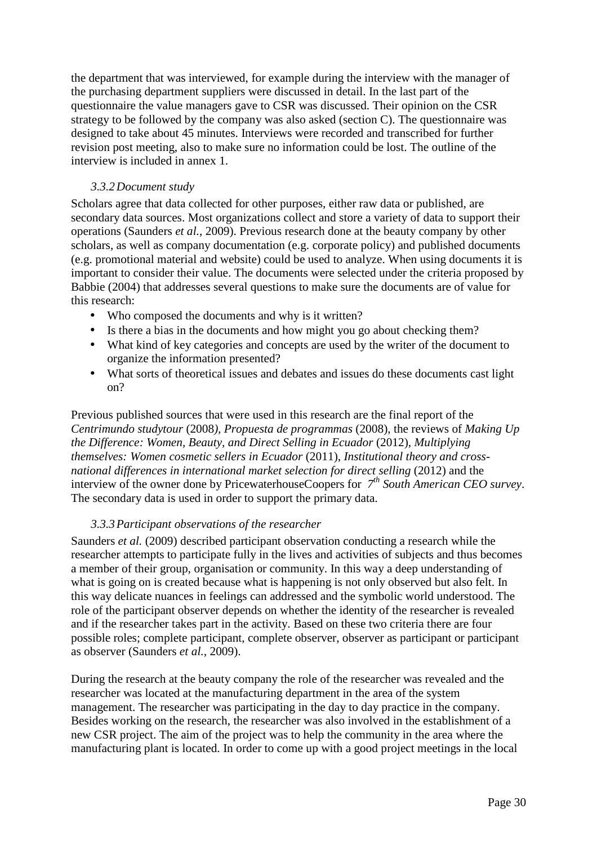the department that was interviewed, for example during the interview with the manager of the purchasing department suppliers were discussed in detail. In the last part of the questionnaire the value managers gave to CSR was discussed. Their opinion on the CSR strategy to be followed by the company was also asked (section C). The questionnaire was designed to take about 45 minutes. Interviews were recorded and transcribed for further revision post meeting, also to make sure no information could be lost. The outline of the interview is included in annex 1.

#### *3.3.2Document study*

Scholars agree that data collected for other purposes, either raw data or published, are secondary data sources. Most organizations collect and store a variety of data to support their operations (Saunders *et al.*, 2009). Previous research done at the beauty company by other scholars, as well as company documentation (e.g. corporate policy) and published documents (e.g. promotional material and website) could be used to analyze. When using documents it is important to consider their value. The documents were selected under the criteria proposed by Babbie (2004) that addresses several questions to make sure the documents are of value for this research:

- Who composed the documents and why is it written?
- Is there a bias in the documents and how might you go about checking them?
- What kind of key categories and concepts are used by the writer of the document to organize the information presented?
- What sorts of theoretical issues and debates and issues do these documents cast light on?

Previous published sources that were used in this research are the final report of the *Centrimundo studytour* (2008*), Propuesta de programmas* (2008), the reviews of *Making Up the Difference: Women, Beauty, and Direct Selling in Ecuador* (2012), *Multiplying themselves: Women cosmetic sellers in Ecuador* (2011), *Institutional theory and crossnational differences in international market selection for direct selling* (2012) and the interview of the owner done by PricewaterhouseCoopers for *7th South American CEO survey*. The secondary data is used in order to support the primary data.

#### *3.3.3Participant observations of the researcher*

Saunders *et al.* (2009) described participant observation conducting a research while the researcher attempts to participate fully in the lives and activities of subjects and thus becomes a member of their group, organisation or community. In this way a deep understanding of what is going on is created because what is happening is not only observed but also felt. In this way delicate nuances in feelings can addressed and the symbolic world understood. The role of the participant observer depends on whether the identity of the researcher is revealed and if the researcher takes part in the activity. Based on these two criteria there are four possible roles; complete participant, complete observer, observer as participant or participant as observer (Saunders *et al.*, 2009).

During the research at the beauty company the role of the researcher was revealed and the researcher was located at the manufacturing department in the area of the system management. The researcher was participating in the day to day practice in the company. Besides working on the research, the researcher was also involved in the establishment of a new CSR project. The aim of the project was to help the community in the area where the manufacturing plant is located. In order to come up with a good project meetings in the local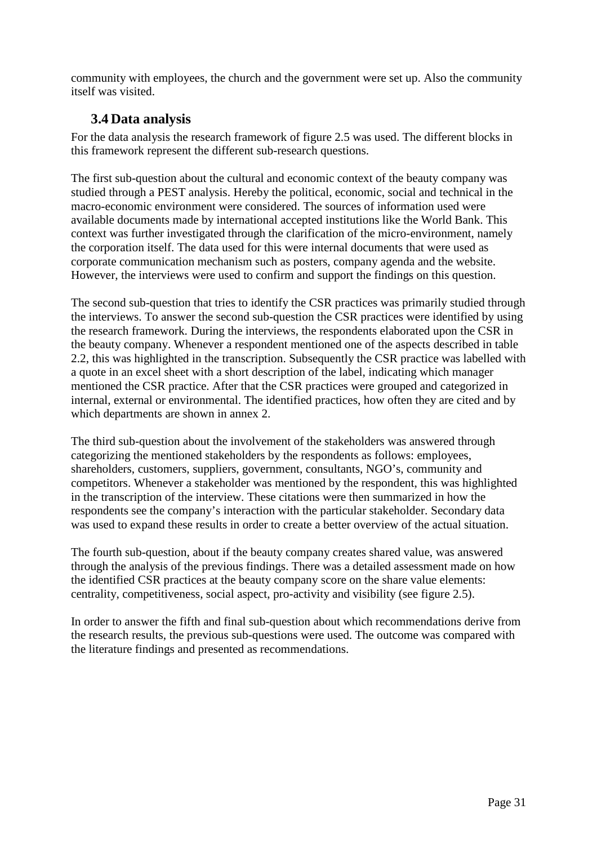community with employees, the church and the government were set up. Also the community itself was visited.

## **3.4 Data analysis**

For the data analysis the research framework of figure 2.5 was used. The different blocks in this framework represent the different sub-research questions.

The first sub-question about the cultural and economic context of the beauty company was studied through a PEST analysis. Hereby the political, economic, social and technical in the macro-economic environment were considered. The sources of information used were available documents made by international accepted institutions like the World Bank. This context was further investigated through the clarification of the micro-environment, namely the corporation itself. The data used for this were internal documents that were used as corporate communication mechanism such as posters, company agenda and the website. However, the interviews were used to confirm and support the findings on this question.

The second sub-question that tries to identify the CSR practices was primarily studied through the interviews. To answer the second sub-question the CSR practices were identified by using the research framework. During the interviews, the respondents elaborated upon the CSR in the beauty company. Whenever a respondent mentioned one of the aspects described in table 2.2, this was highlighted in the transcription. Subsequently the CSR practice was labelled with a quote in an excel sheet with a short description of the label, indicating which manager mentioned the CSR practice. After that the CSR practices were grouped and categorized in internal, external or environmental. The identified practices, how often they are cited and by which departments are shown in annex 2.

The third sub-question about the involvement of the stakeholders was answered through categorizing the mentioned stakeholders by the respondents as follows: employees, shareholders, customers, suppliers, government, consultants, NGO's, community and competitors. Whenever a stakeholder was mentioned by the respondent, this was highlighted in the transcription of the interview. These citations were then summarized in how the respondents see the company's interaction with the particular stakeholder. Secondary data was used to expand these results in order to create a better overview of the actual situation.

The fourth sub-question, about if the beauty company creates shared value, was answered through the analysis of the previous findings. There was a detailed assessment made on how the identified CSR practices at the beauty company score on the share value elements: centrality, competitiveness, social aspect, pro-activity and visibility (see figure 2.5).

In order to answer the fifth and final sub-question about which recommendations derive from the research results, the previous sub-questions were used. The outcome was compared with the literature findings and presented as recommendations.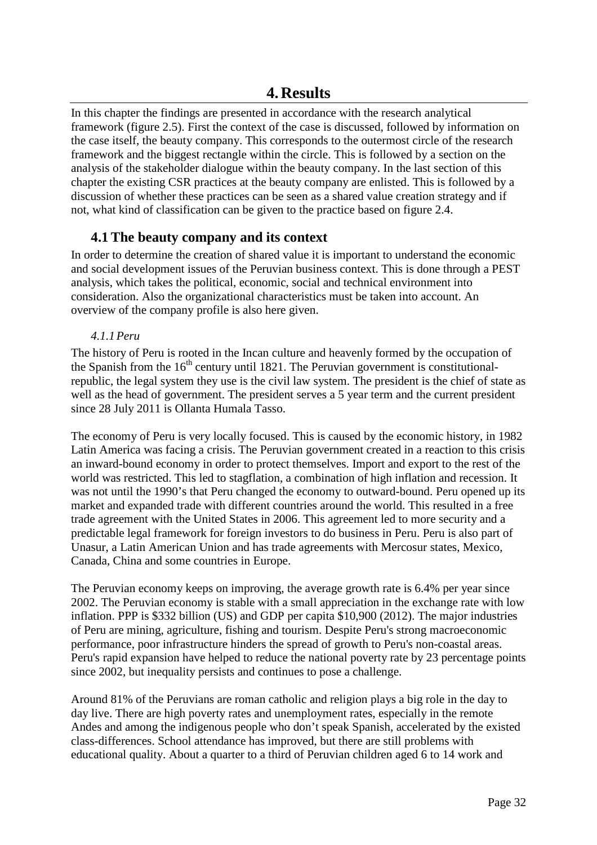In this chapter the findings are presented in accordance with the research analytical framework (figure 2.5). First the context of the case is discussed, followed by information on the case itself, the beauty company. This corresponds to the outermost circle of the research framework and the biggest rectangle within the circle. This is followed by a section on the analysis of the stakeholder dialogue within the beauty company. In the last section of this chapter the existing CSR practices at the beauty company are enlisted. This is followed by a discussion of whether these practices can be seen as a shared value creation strategy and if not, what kind of classification can be given to the practice based on figure 2.4.

## **4.1 The beauty company and its context**

In order to determine the creation of shared value it is important to understand the economic and social development issues of the Peruvian business context. This is done through a PEST analysis, which takes the political, economic, social and technical environment into consideration. Also the organizational characteristics must be taken into account. An overview of the company profile is also here given.

#### *4.1.1Peru*

The history of Peru is rooted in the Incan culture and heavenly formed by the occupation of the Spanish from the  $16<sup>th</sup>$  century until 1821. The Peruvian government is constitutionalrepublic, the legal system they use is the civil law system. The president is the chief of state as well as the head of government. The president serves a 5 year term and the current president since 28 July 2011 is Ollanta Humala Tasso.

The economy of Peru is very locally focused. This is caused by the economic history, in 1982 Latin America was facing a crisis. The Peruvian government created in a reaction to this crisis an inward-bound economy in order to protect themselves. Import and export to the rest of the world was restricted. This led to stagflation, a combination of high inflation and recession. It was not until the 1990's that Peru changed the economy to outward-bound. Peru opened up its market and expanded trade with different countries around the world. This resulted in a free trade agreement with the United States in 2006. This agreement led to more security and a predictable legal framework for foreign investors to do business in Peru. Peru is also part of Unasur, a Latin American Union and has trade agreements with Mercosur states, Mexico, Canada, China and some countries in Europe.

The Peruvian economy keeps on improving, the average growth rate is 6.4% per year since 2002. The Peruvian economy is stable with a small appreciation in the exchange rate with low inflation. PPP is \$332 billion (US) and GDP per capita \$10,900 (2012). The major industries of Peru are mining, agriculture, fishing and tourism. Despite Peru's strong macroeconomic performance, poor infrastructure hinders the spread of growth to Peru's non-coastal areas. Peru's rapid expansion have helped to reduce the national poverty rate by 23 percentage points since 2002, but inequality persists and continues to pose a challenge.

Around 81% of the Peruvians are roman catholic and religion plays a big role in the day to day live. There are high poverty rates and unemployment rates, especially in the remote Andes and among the indigenous people who don't speak Spanish, accelerated by the existed class-differences. School attendance has improved, but there are still problems with educational quality. About a quarter to a third of Peruvian children aged 6 to 14 work and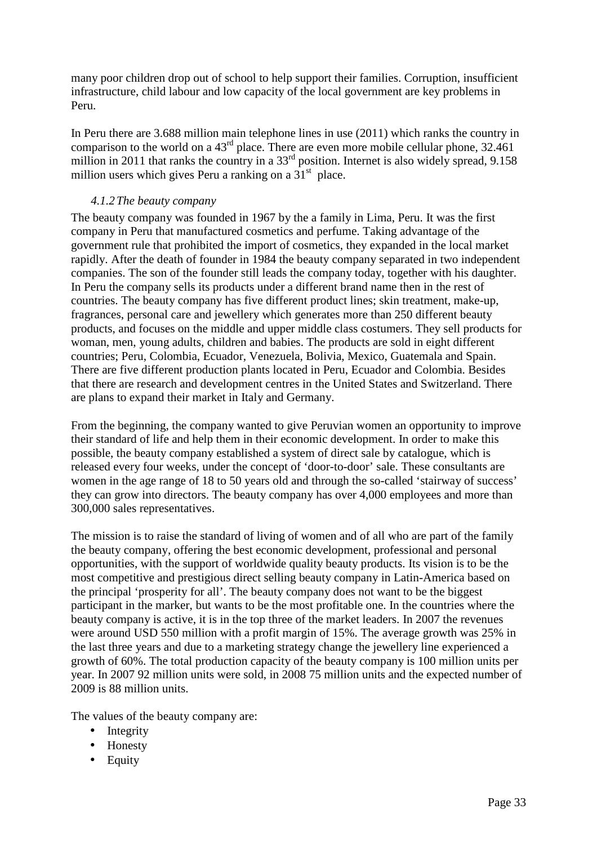many poor children drop out of school to help support their families. Corruption, insufficient infrastructure, child labour and low capacity of the local government are key problems in Peru.

In Peru there are 3.688 million main telephone lines in use (2011) which ranks the country in comparison to the world on a  $43<sup>rd</sup>$  place. There are even more mobile cellular phone, 32.461 million in 2011 that ranks the country in a 33<sup>rd</sup> position. Internet is also widely spread, 9.158 million users which gives Peru a ranking on a  $31<sup>st</sup>$  place.

#### *4.1.2The beauty company*

The beauty company was founded in 1967 by the a family in Lima, Peru. It was the first company in Peru that manufactured cosmetics and perfume. Taking advantage of the government rule that prohibited the import of cosmetics, they expanded in the local market rapidly. After the death of founder in 1984 the beauty company separated in two independent companies. The son of the founder still leads the company today, together with his daughter. In Peru the company sells its products under a different brand name then in the rest of countries. The beauty company has five different product lines; skin treatment, make-up, fragrances, personal care and jewellery which generates more than 250 different beauty products, and focuses on the middle and upper middle class costumers. They sell products for woman, men, young adults, children and babies. The products are sold in eight different countries; Peru, Colombia, Ecuador, Venezuela, Bolivia, Mexico, Guatemala and Spain. There are five different production plants located in Peru, Ecuador and Colombia. Besides that there are research and development centres in the United States and Switzerland. There are plans to expand their market in Italy and Germany.

From the beginning, the company wanted to give Peruvian women an opportunity to improve their standard of life and help them in their economic development. In order to make this possible, the beauty company established a system of direct sale by catalogue, which is released every four weeks, under the concept of 'door-to-door' sale. These consultants are women in the age range of 18 to 50 years old and through the so-called 'stairway of success' they can grow into directors. The beauty company has over 4,000 employees and more than 300,000 sales representatives.

The mission is to raise the standard of living of women and of all who are part of the family the beauty company, offering the best economic development, professional and personal opportunities, with the support of worldwide quality beauty products. Its vision is to be the most competitive and prestigious direct selling beauty company in Latin-America based on the principal 'prosperity for all'. The beauty company does not want to be the biggest participant in the marker, but wants to be the most profitable one. In the countries where the beauty company is active, it is in the top three of the market leaders. In 2007 the revenues were around USD 550 million with a profit margin of 15%. The average growth was 25% in the last three years and due to a marketing strategy change the jewellery line experienced a growth of 60%. The total production capacity of the beauty company is 100 million units per year. In 2007 92 million units were sold, in 2008 75 million units and the expected number of 2009 is 88 million units.

The values of the beauty company are:

- Integrity
- Honesty
- Equity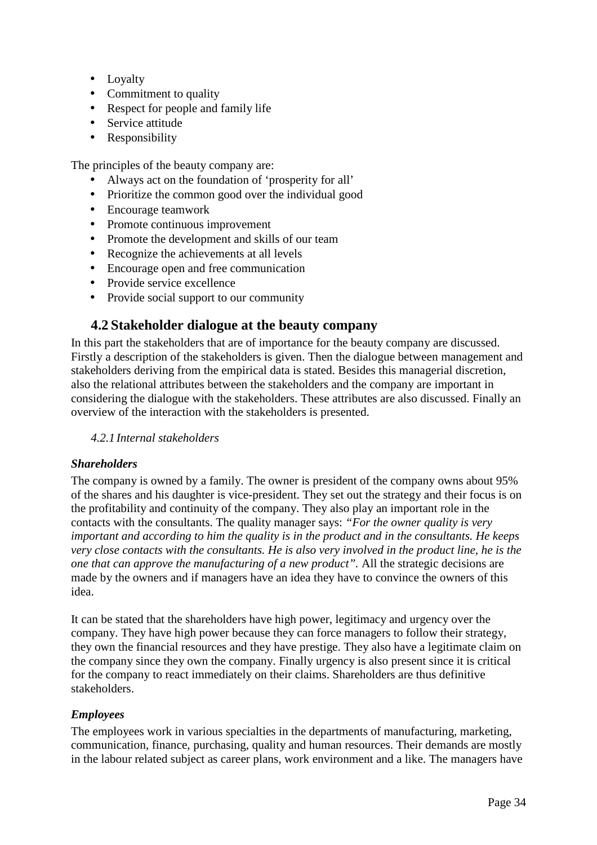- Loyalty
- Commitment to quality
- Respect for people and family life
- Service attitude
- Responsibility

The principles of the beauty company are:

- Always act on the foundation of 'prosperity for all'
- Prioritize the common good over the individual good
- Encourage teamwork
- Promote continuous improvement
- Promote the development and skills of our team
- Recognize the achievements at all levels
- Encourage open and free communication
- Provide service excellence
- Provide social support to our community

### **4.2 Stakeholder dialogue at the beauty company**

In this part the stakeholders that are of importance for the beauty company are discussed. Firstly a description of the stakeholders is given. Then the dialogue between management and stakeholders deriving from the empirical data is stated. Besides this managerial discretion, also the relational attributes between the stakeholders and the company are important in considering the dialogue with the stakeholders. These attributes are also discussed. Finally an overview of the interaction with the stakeholders is presented.

*4.2.1 Internal stakeholders* 

#### *Shareholders*

The company is owned by a family. The owner is president of the company owns about 95% of the shares and his daughter is vice-president. They set out the strategy and their focus is on the profitability and continuity of the company. They also play an important role in the contacts with the consultants. The quality manager says: *"For the owner quality is very important and according to him the quality is in the product and in the consultants. He keeps very close contacts with the consultants. He is also very involved in the product line, he is the one that can approve the manufacturing of a new product".* All the strategic decisions are made by the owners and if managers have an idea they have to convince the owners of this idea.

It can be stated that the shareholders have high power, legitimacy and urgency over the company. They have high power because they can force managers to follow their strategy, they own the financial resources and they have prestige. They also have a legitimate claim on the company since they own the company. Finally urgency is also present since it is critical for the company to react immediately on their claims. Shareholders are thus definitive stakeholders.

#### *Employees*

The employees work in various specialties in the departments of manufacturing, marketing, communication, finance, purchasing, quality and human resources. Their demands are mostly in the labour related subject as career plans, work environment and a like. The managers have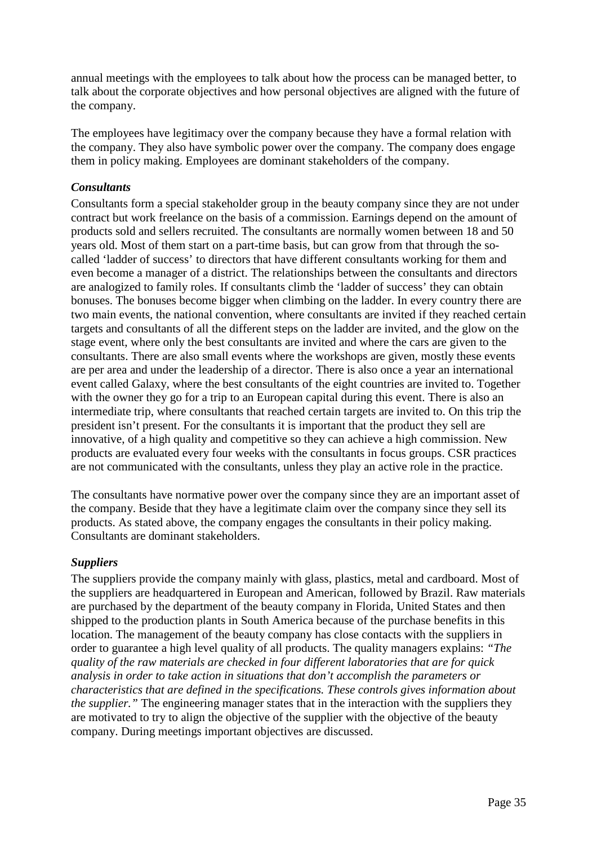annual meetings with the employees to talk about how the process can be managed better, to talk about the corporate objectives and how personal objectives are aligned with the future of the company.

The employees have legitimacy over the company because they have a formal relation with the company. They also have symbolic power over the company. The company does engage them in policy making. Employees are dominant stakeholders of the company.

#### *Consultants*

Consultants form a special stakeholder group in the beauty company since they are not under contract but work freelance on the basis of a commission. Earnings depend on the amount of products sold and sellers recruited. The consultants are normally women between 18 and 50 years old. Most of them start on a part-time basis, but can grow from that through the socalled 'ladder of success' to directors that have different consultants working for them and even become a manager of a district. The relationships between the consultants and directors are analogized to family roles. If consultants climb the 'ladder of success' they can obtain bonuses. The bonuses become bigger when climbing on the ladder. In every country there are two main events, the national convention, where consultants are invited if they reached certain targets and consultants of all the different steps on the ladder are invited, and the glow on the stage event, where only the best consultants are invited and where the cars are given to the consultants. There are also small events where the workshops are given, mostly these events are per area and under the leadership of a director. There is also once a year an international event called Galaxy, where the best consultants of the eight countries are invited to. Together with the owner they go for a trip to an European capital during this event. There is also an intermediate trip, where consultants that reached certain targets are invited to. On this trip the president isn't present. For the consultants it is important that the product they sell are innovative, of a high quality and competitive so they can achieve a high commission. New products are evaluated every four weeks with the consultants in focus groups. CSR practices are not communicated with the consultants, unless they play an active role in the practice.

The consultants have normative power over the company since they are an important asset of the company. Beside that they have a legitimate claim over the company since they sell its products. As stated above, the company engages the consultants in their policy making. Consultants are dominant stakeholders.

#### *Suppliers*

The suppliers provide the company mainly with glass, plastics, metal and cardboard. Most of the suppliers are headquartered in European and American, followed by Brazil. Raw materials are purchased by the department of the beauty company in Florida, United States and then shipped to the production plants in South America because of the purchase benefits in this location. The management of the beauty company has close contacts with the suppliers in order to guarantee a high level quality of all products. The quality managers explains: *"The quality of the raw materials are checked in four different laboratories that are for quick analysis in order to take action in situations that don't accomplish the parameters or characteristics that are defined in the specifications. These controls gives information about the supplier.*" The engineering manager states that in the interaction with the suppliers they are motivated to try to align the objective of the supplier with the objective of the beauty company. During meetings important objectives are discussed.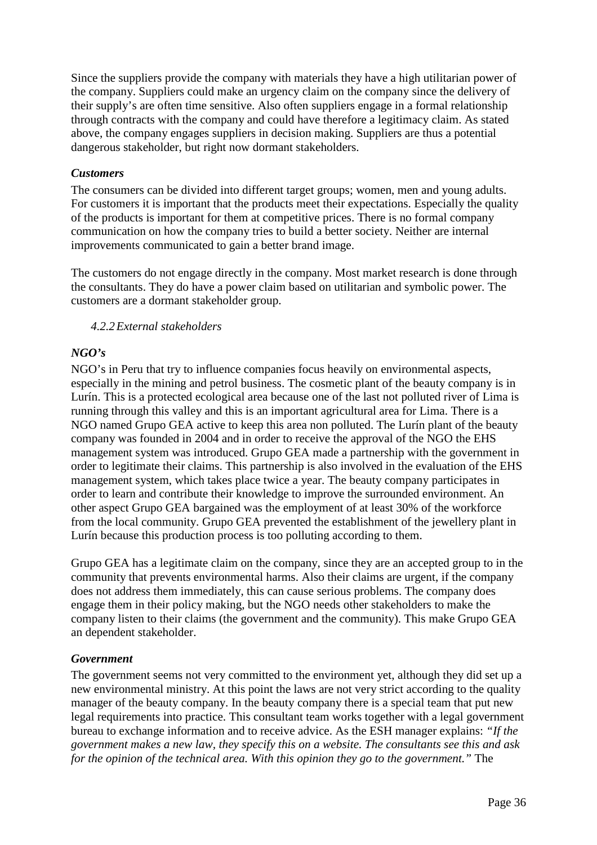Since the suppliers provide the company with materials they have a high utilitarian power of the company. Suppliers could make an urgency claim on the company since the delivery of their supply's are often time sensitive. Also often suppliers engage in a formal relationship through contracts with the company and could have therefore a legitimacy claim. As stated above, the company engages suppliers in decision making. Suppliers are thus a potential dangerous stakeholder, but right now dormant stakeholders.

#### *Customers*

The consumers can be divided into different target groups; women, men and young adults. For customers it is important that the products meet their expectations. Especially the quality of the products is important for them at competitive prices. There is no formal company communication on how the company tries to build a better society. Neither are internal improvements communicated to gain a better brand image.

The customers do not engage directly in the company. Most market research is done through the consultants. They do have a power claim based on utilitarian and symbolic power. The customers are a dormant stakeholder group.

#### *4.2.2External stakeholders*

#### *NGO's*

NGO's in Peru that try to influence companies focus heavily on environmental aspects, especially in the mining and petrol business. The cosmetic plant of the beauty company is in Lurín. This is a protected ecological area because one of the last not polluted river of Lima is running through this valley and this is an important agricultural area for Lima. There is a NGO named Grupo GEA active to keep this area non polluted. The Lurín plant of the beauty company was founded in 2004 and in order to receive the approval of the NGO the EHS management system was introduced. Grupo GEA made a partnership with the government in order to legitimate their claims. This partnership is also involved in the evaluation of the EHS management system, which takes place twice a year. The beauty company participates in order to learn and contribute their knowledge to improve the surrounded environment. An other aspect Grupo GEA bargained was the employment of at least 30% of the workforce from the local community. Grupo GEA prevented the establishment of the jewellery plant in Lurín because this production process is too polluting according to them.

Grupo GEA has a legitimate claim on the company, since they are an accepted group to in the community that prevents environmental harms. Also their claims are urgent, if the company does not address them immediately, this can cause serious problems. The company does engage them in their policy making, but the NGO needs other stakeholders to make the company listen to their claims (the government and the community). This make Grupo GEA an dependent stakeholder.

#### *Government*

The government seems not very committed to the environment yet, although they did set up a new environmental ministry. At this point the laws are not very strict according to the quality manager of the beauty company. In the beauty company there is a special team that put new legal requirements into practice. This consultant team works together with a legal government bureau to exchange information and to receive advice. As the ESH manager explains: *"If the government makes a new law, they specify this on a website. The consultants see this and ask for the opinion of the technical area. With this opinion they go to the government."* The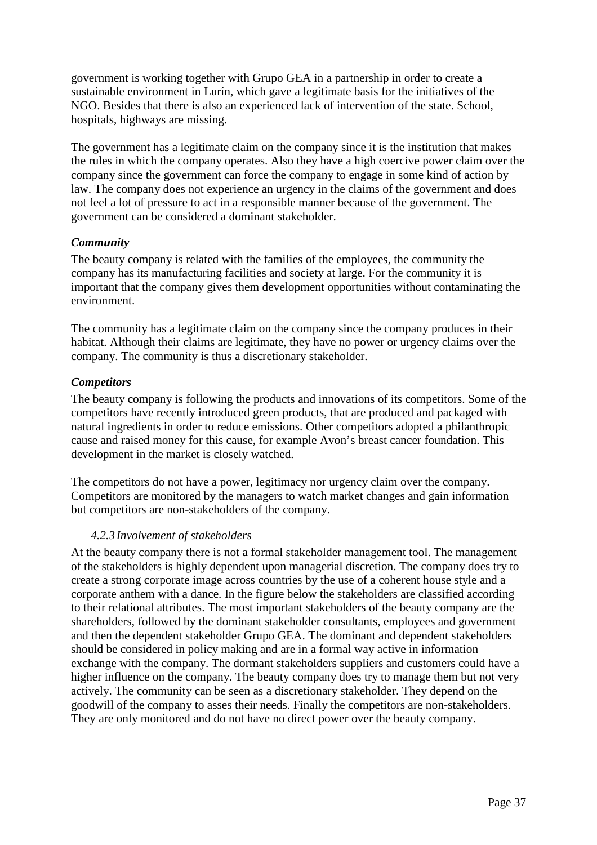government is working together with Grupo GEA in a partnership in order to create a sustainable environment in Lurín, which gave a legitimate basis for the initiatives of the NGO. Besides that there is also an experienced lack of intervention of the state. School, hospitals, highways are missing.

The government has a legitimate claim on the company since it is the institution that makes the rules in which the company operates. Also they have a high coercive power claim over the company since the government can force the company to engage in some kind of action by law. The company does not experience an urgency in the claims of the government and does not feel a lot of pressure to act in a responsible manner because of the government. The government can be considered a dominant stakeholder.

#### *Community*

The beauty company is related with the families of the employees, the community the company has its manufacturing facilities and society at large. For the community it is important that the company gives them development opportunities without contaminating the environment.

The community has a legitimate claim on the company since the company produces in their habitat. Although their claims are legitimate, they have no power or urgency claims over the company. The community is thus a discretionary stakeholder.

#### *Competitors*

The beauty company is following the products and innovations of its competitors. Some of the competitors have recently introduced green products, that are produced and packaged with natural ingredients in order to reduce emissions. Other competitors adopted a philanthropic cause and raised money for this cause, for example Avon's breast cancer foundation. This development in the market is closely watched.

The competitors do not have a power, legitimacy nor urgency claim over the company. Competitors are monitored by the managers to watch market changes and gain information but competitors are non-stakeholders of the company.

#### *4.2.3 Involvement of stakeholders*

At the beauty company there is not a formal stakeholder management tool. The management of the stakeholders is highly dependent upon managerial discretion. The company does try to create a strong corporate image across countries by the use of a coherent house style and a corporate anthem with a dance. In the figure below the stakeholders are classified according to their relational attributes. The most important stakeholders of the beauty company are the shareholders, followed by the dominant stakeholder consultants, employees and government and then the dependent stakeholder Grupo GEA. The dominant and dependent stakeholders should be considered in policy making and are in a formal way active in information exchange with the company. The dormant stakeholders suppliers and customers could have a higher influence on the company. The beauty company does try to manage them but not very actively. The community can be seen as a discretionary stakeholder. They depend on the goodwill of the company to asses their needs. Finally the competitors are non-stakeholders. They are only monitored and do not have no direct power over the beauty company.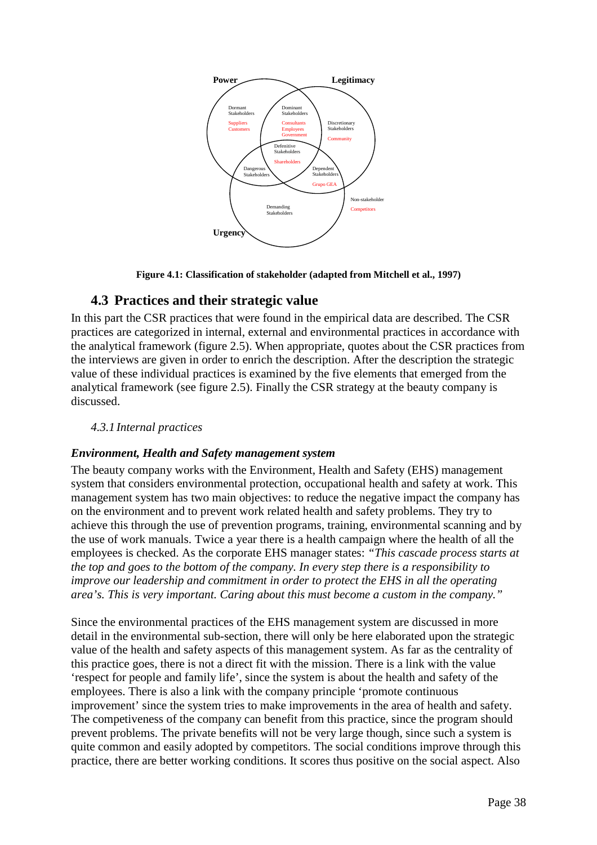

**Figure 4.1: Classification of stakeholder (adapted from Mitchell et al., 1997)** 

## **4.3 Practices and their strategic value**

In this part the CSR practices that were found in the empirical data are described. The CSR practices are categorized in internal, external and environmental practices in accordance with the analytical framework (figure 2.5). When appropriate, quotes about the CSR practices from the interviews are given in order to enrich the description. After the description the strategic value of these individual practices is examined by the five elements that emerged from the analytical framework (see figure 2.5). Finally the CSR strategy at the beauty company is discussed.

### *4.3.1 Internal practices*

### *Environment, Health and Safety management system*

The beauty company works with the Environment, Health and Safety (EHS) management system that considers environmental protection, occupational health and safety at work. This management system has two main objectives: to reduce the negative impact the company has on the environment and to prevent work related health and safety problems. They try to achieve this through the use of prevention programs, training, environmental scanning and by the use of work manuals. Twice a year there is a health campaign where the health of all the employees is checked. As the corporate EHS manager states: *"This cascade process starts at the top and goes to the bottom of the company. In every step there is a responsibility to improve our leadership and commitment in order to protect the EHS in all the operating area's. This is very important. Caring about this must become a custom in the company."* 

Since the environmental practices of the EHS management system are discussed in more detail in the environmental sub-section, there will only be here elaborated upon the strategic value of the health and safety aspects of this management system. As far as the centrality of this practice goes, there is not a direct fit with the mission. There is a link with the value 'respect for people and family life', since the system is about the health and safety of the employees. There is also a link with the company principle 'promote continuous improvement' since the system tries to make improvements in the area of health and safety. The competiveness of the company can benefit from this practice, since the program should prevent problems. The private benefits will not be very large though, since such a system is quite common and easily adopted by competitors. The social conditions improve through this practice, there are better working conditions. It scores thus positive on the social aspect. Also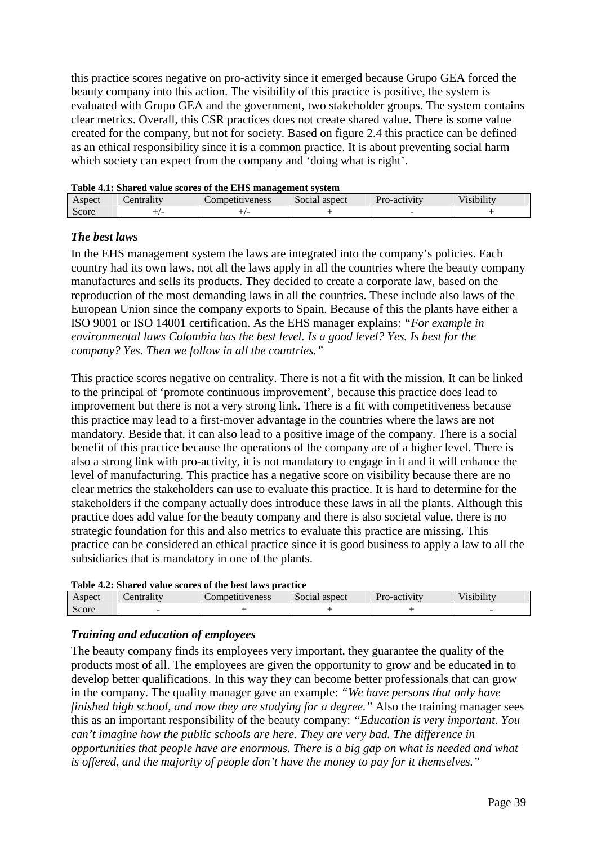this practice scores negative on pro-activity since it emerged because Grupo GEA forced the beauty company into this action. The visibility of this practice is positive, the system is evaluated with Grupo GEA and the government, two stakeholder groups. The system contains clear metrics. Overall, this CSR practices does not create shared value. There is some value created for the company, but not for society. Based on figure 2.4 this practice can be defined as an ethical responsibility since it is a common practice. It is about preventing social harm which society can expect from the company and 'doing what is right'.

| Table 4.1: Shared value scores of the EHS management system |           |                 |               |              |                    |  |  |
|-------------------------------------------------------------|-----------|-----------------|---------------|--------------|--------------------|--|--|
| Aspect                                                      | entrality | Competitiveness | Social aspect | Pro-activity | <i>l</i> isibility |  |  |
| Score                                                       |           |                 |               |              |                    |  |  |
|                                                             |           |                 |               |              |                    |  |  |

**Table 4.1: Shared value scores of the EHS management system** 

#### *The best laws*

In the EHS management system the laws are integrated into the company's policies. Each country had its own laws, not all the laws apply in all the countries where the beauty company manufactures and sells its products. They decided to create a corporate law, based on the reproduction of the most demanding laws in all the countries. These include also laws of the European Union since the company exports to Spain. Because of this the plants have either a ISO 9001 or ISO 14001 certification. As the EHS manager explains: *"For example in environmental laws Colombia has the best level. Is a good level? Yes. Is best for the company? Yes. Then we follow in all the countries."* 

This practice scores negative on centrality. There is not a fit with the mission. It can be linked to the principal of 'promote continuous improvement', because this practice does lead to improvement but there is not a very strong link. There is a fit with competitiveness because this practice may lead to a first-mover advantage in the countries where the laws are not mandatory. Beside that, it can also lead to a positive image of the company. There is a social benefit of this practice because the operations of the company are of a higher level. There is also a strong link with pro-activity, it is not mandatory to engage in it and it will enhance the level of manufacturing. This practice has a negative score on visibility because there are no clear metrics the stakeholders can use to evaluate this practice. It is hard to determine for the stakeholders if the company actually does introduce these laws in all the plants. Although this practice does add value for the beauty company and there is also societal value, there is no strategic foundation for this and also metrics to evaluate this practice are missing. This practice can be considered an ethical practice since it is good business to apply a law to all the subsidiaries that is mandatory in one of the plants.

| Table 4.2: Shared value scores of the best laws practice |  |  |  |  |  |  |  |  |
|----------------------------------------------------------|--|--|--|--|--|--|--|--|
|----------------------------------------------------------|--|--|--|--|--|--|--|--|

| Aspect          | Lentrality | Competitiveness | $\sim$<br>aspect<br>Social | Pro-activity | $\cdot$ .<br>$\mathbf{v}$ $\mathbf{v}$<br>$\sqrt{1}$ 1 $\sqrt{1}$ 1 $\sqrt{1}$ 1 $\sqrt{1}$ 1 $\sqrt{1}$ 1 $\sqrt{1}$ 1 $\sqrt{1}$ 1 $\sqrt{1}$ 1 $\sqrt{1}$ 1 $\sqrt{1}$ 1 $\sqrt{1}$ 1 $\sqrt{1}$ 1 $\sqrt{1}$ 1 $\sqrt{1}$ 1 $\sqrt{1}$ 1 $\sqrt{1}$ 1 $\sqrt{1}$ $\sqrt{1}$ $\sqrt{1}$ $\sqrt{1}$ $\sqrt{1}$ $\sqrt{1}$ $\sqrt{1}$ $\sqrt{1$ |
|-----------------|------------|-----------------|----------------------------|--------------|--------------------------------------------------------------------------------------------------------------------------------------------------------------------------------------------------------------------------------------------------------------------------------------------------------------------------------------------------|
| $\sim$<br>Score |            |                 |                            |              |                                                                                                                                                                                                                                                                                                                                                  |

#### *Training and education of employees*

The beauty company finds its employees very important, they guarantee the quality of the products most of all. The employees are given the opportunity to grow and be educated in to develop better qualifications. In this way they can become better professionals that can grow in the company. The quality manager gave an example: *"We have persons that only have finished high school, and now they are studying for a degree."* Also the training manager sees this as an important responsibility of the beauty company: *"Education is very important. You can't imagine how the public schools are here. They are very bad. The difference in opportunities that people have are enormous. There is a big gap on what is needed and what is offered, and the majority of people don't have the money to pay for it themselves."*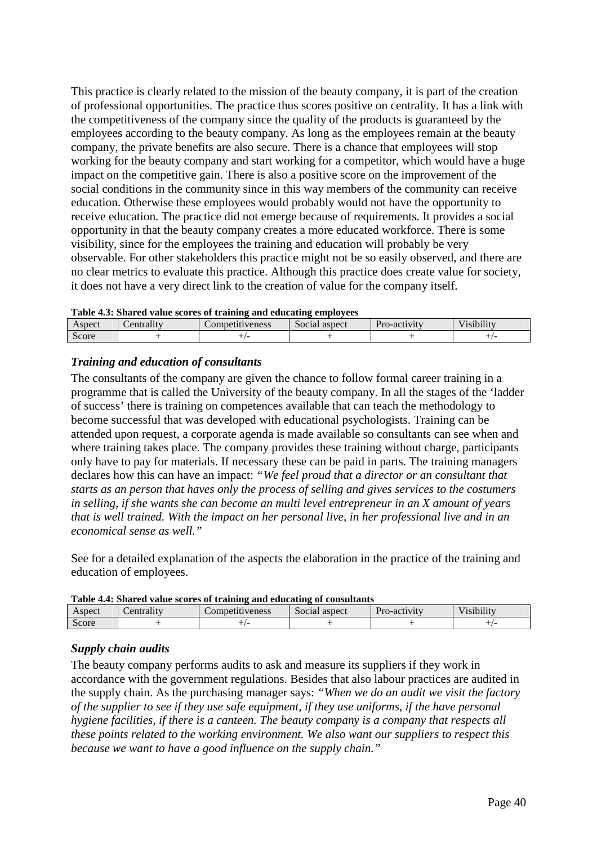This practice is clearly related to the mission of the beauty company, it is part of the creation of professional opportunities. The practice thus scores positive on centrality. It has a link with the competitiveness of the company since the quality of the products is guaranteed by the employees according to the beauty company. As long as the employees remain at the beauty company, the private benefits are also secure. There is a chance that employees will stop working for the beauty company and start working for a competitor, which would have a huge impact on the competitive gain. There is also a positive score on the improvement of the social conditions in the community since in this way members of the community can receive education. Otherwise these employees would probably would not have the opportunity to receive education. The practice did not emerge because of requirements. It provides a social opportunity in that the beauty company creates a more educated workforce. There is some visibility, since for the employees the training and education will probably be very observable. For other stakeholders this practice might not be so easily observed, and there are no clear metrics to evaluate this practice. Although this practice does create value for society, it does not have a very direct link to the creation of value for the company itself.

|  |  |  | Table 4.3: Shared value scores of training and educating employees |
|--|--|--|--------------------------------------------------------------------|
|--|--|--|--------------------------------------------------------------------|

| --------<br>------<br>----------<br>--------<br>---- |                       |                       |                            |              |                                 |  |  |
|------------------------------------------------------|-----------------------|-----------------------|----------------------------|--------------|---------------------------------|--|--|
| Aspect                                               | atralıt -<br>$\alpha$ | .ompetit<br>1tiveness | $\sim$<br>aspect<br>Social | Pro-activity | <br>V 101 h1 l 1 t v<br>1910111 |  |  |
| $\sim$<br>Score                                      |                       |                       |                            |              |                                 |  |  |
|                                                      |                       |                       |                            |              |                                 |  |  |

#### *Training and education of consultants*

The consultants of the company are given the chance to follow formal career training in a programme that is called the University of the beauty company. In all the stages of the 'ladder of success' there is training on competences available that can teach the methodology to become successful that was developed with educational psychologists. Training can be attended upon request, a corporate agenda is made available so consultants can see when and where training takes place. The company provides these training without charge, participants only have to pay for materials. If necessary these can be paid in parts. The training managers declares how this can have an impact: *"We feel proud that a director or an consultant that starts as an person that haves only the process of selling and gives services to the costumers in selling, if she wants she can become an multi level entrepreneur in an X amount of years that is well trained. With the impact on her personal live, in her professional live and in an economical sense as well."* 

See for a detailed explanation of the aspects the elaboration in the practice of the training and education of employees.

| Table 40 Dimited value becked of training and culculing of compartance |           |                 |               |              |            |  |
|------------------------------------------------------------------------|-----------|-----------------|---------------|--------------|------------|--|
| Aspect                                                                 | entrality | Competitiveness | Social aspect | Pro-activity | Visibility |  |
| Score                                                                  |           |                 |               |              |            |  |
|                                                                        |           |                 |               |              |            |  |

| Table 4.4: Shared value scores of training and educating of consultants |  |
|-------------------------------------------------------------------------|--|
|-------------------------------------------------------------------------|--|

#### *Supply chain audits*

The beauty company performs audits to ask and measure its suppliers if they work in accordance with the government regulations. Besides that also labour practices are audited in the supply chain. As the purchasing manager says: *"When we do an audit we visit the factory of the supplier to see if they use safe equipment, if they use uniforms, if the have personal hygiene facilities, if there is a canteen. The beauty company is a company that respects all these points related to the working environment. We also want our suppliers to respect this because we want to have a good influence on the supply chain."*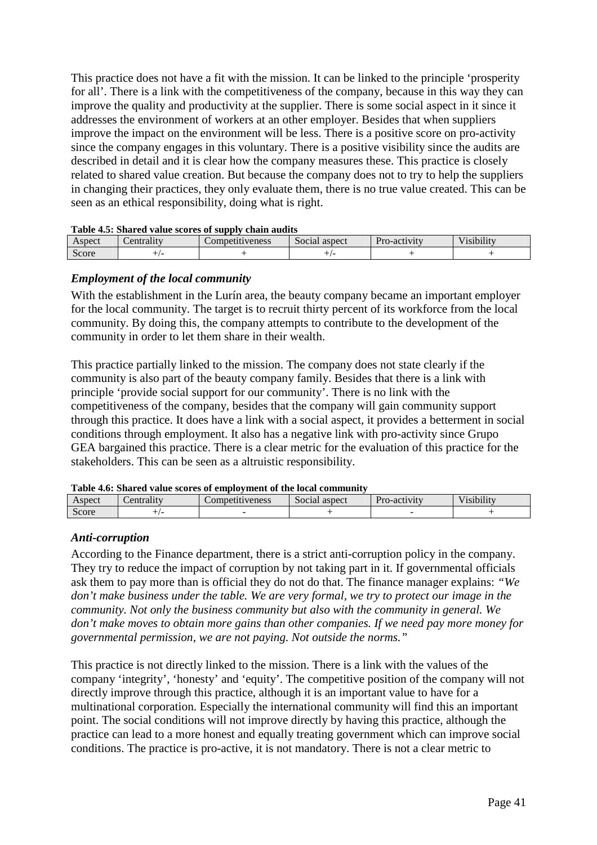This practice does not have a fit with the mission. It can be linked to the principle 'prosperity for all'. There is a link with the competitiveness of the company, because in this way they can improve the quality and productivity at the supplier. There is some social aspect in it since it addresses the environment of workers at an other employer. Besides that when suppliers improve the impact on the environment will be less. There is a positive score on pro-activity since the company engages in this voluntary. There is a positive visibility since the audits are described in detail and it is clear how the company measures these. This practice is closely related to shared value creation. But because the company does not to try to help the suppliers in changing their practices, they only evaluate them, there is no true value created. This can be seen as an ethical responsibility, doing what is right.

| Table 4.5: Shared value scores of supply chain audits |  |  |
|-------------------------------------------------------|--|--|
|                                                       |  |  |

| Aspect | ∠entrality | Competitiveness | aspect<br>Social | Pro-activity | <br>$\sim$<br>$\bullet$<br>/1S1b1l1tv |
|--------|------------|-----------------|------------------|--------------|---------------------------------------|
| Score  |            |                 |                  |              |                                       |

#### *Employment of the local community*

With the establishment in the Lurín area, the beauty company became an important employer for the local community. The target is to recruit thirty percent of its workforce from the local community. By doing this, the company attempts to contribute to the development of the community in order to let them share in their wealth.

This practice partially linked to the mission. The company does not state clearly if the community is also part of the beauty company family. Besides that there is a link with principle 'provide social support for our community'. There is no link with the competitiveness of the company, besides that the company will gain community support through this practice. It does have a link with a social aspect, it provides a betterment in social conditions through employment. It also has a negative link with pro-activity since Grupo GEA bargained this practice. There is a clear metric for the evaluation of this practice for the stakeholders. This can be seen as a altruistic responsibility.

| Table 4.6: Shared value scores of employment of the local community |
|---------------------------------------------------------------------|
|                                                                     |

| Table 7.0. Bharca value scores of employment of the local community |           |                 |               |                     |            |  |
|---------------------------------------------------------------------|-----------|-----------------|---------------|---------------------|------------|--|
| Aspect                                                              | entrality | competitiveness | Social aspect | <b>Pro-activity</b> | Visibility |  |
| Score                                                               |           |                 |               |                     |            |  |
|                                                                     |           |                 |               |                     |            |  |

#### *Anti-corruption*

According to the Finance department, there is a strict anti-corruption policy in the company. They try to reduce the impact of corruption by not taking part in it. If governmental officials ask them to pay more than is official they do not do that. The finance manager explains: *"We don't make business under the table. We are very formal, we try to protect our image in the community. Not only the business community but also with the community in general. We don't make moves to obtain more gains than other companies. If we need pay more money for governmental permission, we are not paying. Not outside the norms."*

This practice is not directly linked to the mission. There is a link with the values of the company 'integrity', 'honesty' and 'equity'. The competitive position of the company will not directly improve through this practice, although it is an important value to have for a multinational corporation. Especially the international community will find this an important point. The social conditions will not improve directly by having this practice, although the practice can lead to a more honest and equally treating government which can improve social conditions. The practice is pro-active, it is not mandatory. There is not a clear metric to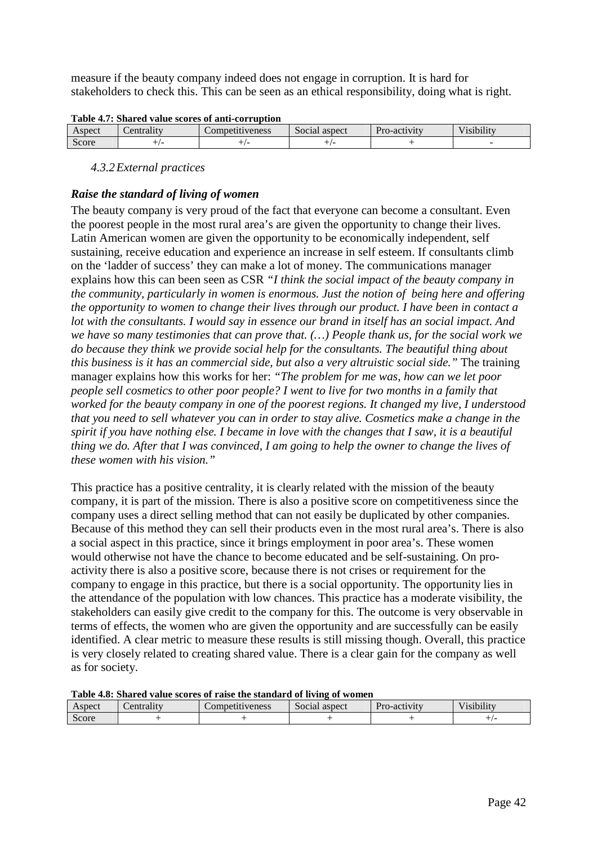measure if the beauty company indeed does not engage in corruption. It is hard for stakeholders to check this. This can be seen as an ethical responsibility, doing what is right.

|  |  | Table 4.7: Shared value scores of anti-corruption |
|--|--|---------------------------------------------------|
|  |  |                                                   |

| _____________________________ |                        |                      |                         |              |                              |  |
|-------------------------------|------------------------|----------------------|-------------------------|--------------|------------------------------|--|
| Aspect                        | $\bullet$<br>entrality | tiveness<br>.ompetit | $\sim$<br>Social aspect | Pro-activity | $-1$ $-1$ $-1$<br>/1s1b1l1tv |  |
| $\sim$<br>Score               |                        |                      |                         |              |                              |  |
|                               |                        |                      |                         |              |                              |  |

#### *4.3.2External practices*

#### *Raise the standard of living of women*

The beauty company is very proud of the fact that everyone can become a consultant. Even the poorest people in the most rural area's are given the opportunity to change their lives. Latin American women are given the opportunity to be economically independent, self sustaining, receive education and experience an increase in self esteem. If consultants climb on the 'ladder of success' they can make a lot of money. The communications manager explains how this can been seen as CSR *"I think the social impact of the beauty company in the community, particularly in women is enormous. Just the notion of being here and offering the opportunity to women to change their lives through our product. I have been in contact a lot with the consultants. I would say in essence our brand in itself has an social impact. And we have so many testimonies that can prove that. (…) People thank us, for the social work we do because they think we provide social help for the consultants. The beautiful thing about this business is it has an commercial side, but also a very altruistic social side."* The training manager explains how this works for her: *"The problem for me was, how can we let poor people sell cosmetics to other poor people? I went to live for two months in a family that worked for the beauty company in one of the poorest regions. It changed my live, I understood that you need to sell whatever you can in order to stay alive. Cosmetics make a change in the spirit if you have nothing else. I became in love with the changes that I saw, it is a beautiful thing we do. After that I was convinced, I am going to help the owner to change the lives of these women with his vision."* 

This practice has a positive centrality, it is clearly related with the mission of the beauty company, it is part of the mission. There is also a positive score on competitiveness since the company uses a direct selling method that can not easily be duplicated by other companies. Because of this method they can sell their products even in the most rural area's. There is also a social aspect in this practice, since it brings employment in poor area's. These women would otherwise not have the chance to become educated and be self-sustaining. On proactivity there is also a positive score, because there is not crises or requirement for the company to engage in this practice, but there is a social opportunity. The opportunity lies in the attendance of the population with low chances. This practice has a moderate visibility, the stakeholders can easily give credit to the company for this. The outcome is very observable in terms of effects, the women who are given the opportunity and are successfully can be easily identified. A clear metric to measure these results is still missing though. Overall, this practice is very closely related to creating shared value. There is a clear gain for the company as well as for society.

#### **Table 4.8: Shared value scores of raise the standard of living of women**

| Aspect | entrality | Competitiveness | $\sim$<br>' aspect<br>Social | Pro-activity | $\cdots$<br>r ▼ *<br>v isibility |
|--------|-----------|-----------------|------------------------------|--------------|----------------------------------|
| Score  |           |                 |                              |              |                                  |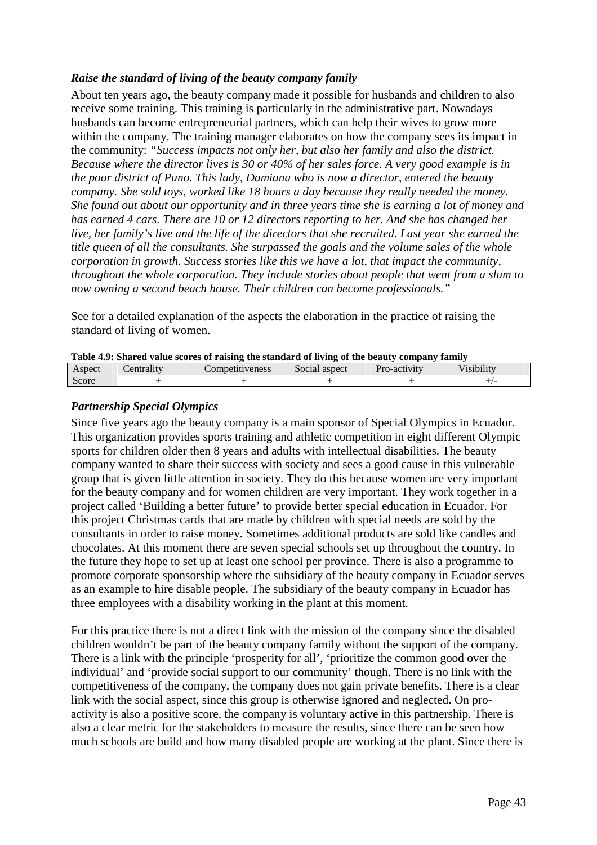#### *Raise the standard of living of the beauty company family*

About ten years ago, the beauty company made it possible for husbands and children to also receive some training. This training is particularly in the administrative part. Nowadays husbands can become entrepreneurial partners, which can help their wives to grow more within the company. The training manager elaborates on how the company sees its impact in the community: *"Success impacts not only her, but also her family and also the district. Because where the director lives is 30 or 40% of her sales force. A very good example is in the poor district of Puno. This lady, Damiana who is now a director, entered the beauty company. She sold toys, worked like 18 hours a day because they really needed the money. She found out about our opportunity and in three years time she is earning a lot of money and has earned 4 cars. There are 10 or 12 directors reporting to her. And she has changed her live, her family's live and the life of the directors that she recruited. Last year she earned the title queen of all the consultants. She surpassed the goals and the volume sales of the whole corporation in growth. Success stories like this we have a lot, that impact the community, throughout the whole corporation. They include stories about people that went from a slum to now owning a second beach house. Their children can become professionals."*

See for a detailed explanation of the aspects the elaboration in the practice of raising the standard of living of women.

| Table 4.9. Shared value scores of raising the standard of hymne of the beauty company railiny |            |                 |               |              |            |  |
|-----------------------------------------------------------------------------------------------|------------|-----------------|---------------|--------------|------------|--|
| Aspect                                                                                        | entrality: | Competitiveness | Social aspect | Pro-activity | Visibilitv |  |
| Score                                                                                         |            |                 |               |              |            |  |

| Table 4.9: Shared value scores of raising the standard of living of the beauty company family |  |  |
|-----------------------------------------------------------------------------------------------|--|--|
|                                                                                               |  |  |

#### *Partnership Special Olympics*

Since five years ago the beauty company is a main sponsor of Special Olympics in Ecuador. This organization provides sports training and athletic competition in eight different Olympic sports for children older then 8 years and adults with intellectual disabilities. The beauty company wanted to share their success with society and sees a good cause in this vulnerable group that is given little attention in society. They do this because women are very important for the beauty company and for women children are very important. They work together in a project called 'Building a better future' to provide better special education in Ecuador. For this project Christmas cards that are made by children with special needs are sold by the consultants in order to raise money. Sometimes additional products are sold like candles and chocolates. At this moment there are seven special schools set up throughout the country. In the future they hope to set up at least one school per province. There is also a programme to promote corporate sponsorship where the subsidiary of the beauty company in Ecuador serves as an example to hire disable people. The subsidiary of the beauty company in Ecuador has three employees with a disability working in the plant at this moment.

For this practice there is not a direct link with the mission of the company since the disabled children wouldn't be part of the beauty company family without the support of the company. There is a link with the principle 'prosperity for all', 'prioritize the common good over the individual' and 'provide social support to our community' though. There is no link with the competitiveness of the company, the company does not gain private benefits. There is a clear link with the social aspect, since this group is otherwise ignored and neglected. On proactivity is also a positive score, the company is voluntary active in this partnership. There is also a clear metric for the stakeholders to measure the results, since there can be seen how much schools are build and how many disabled people are working at the plant. Since there is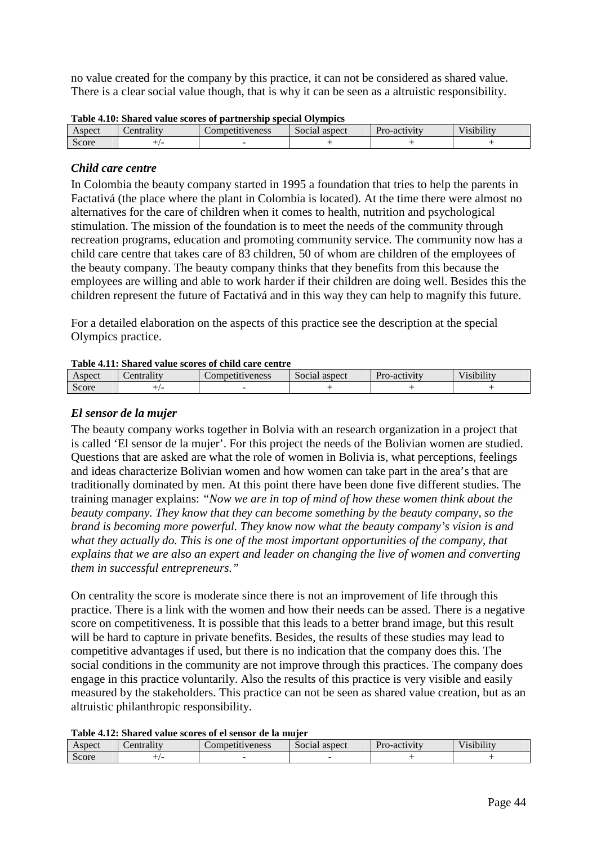no value created for the company by this practice, it can not be considered as shared value. There is a clear social value though, that is why it can be seen as a altruistic responsibility.

| Tuble 4.10. Dhurea value scores or partnership special Orympics |           |                                      |               |              |                                         |  |  |
|-----------------------------------------------------------------|-----------|--------------------------------------|---------------|--------------|-----------------------------------------|--|--|
| Aspect                                                          | entrality | <i>s r r r r reness</i><br>Competiti | Social aspect | Pro-activity | $\cdot$ $\cdot$ $\cdot$ $\cdot$ $\cdot$ |  |  |
| Score                                                           |           |                                      |               |              |                                         |  |  |

#### **Table 4.10: Shared value scores of partnership special Olympics**

#### *Child care centre*

In Colombia the beauty company started in 1995 a foundation that tries to help the parents in Factativá (the place where the plant in Colombia is located). At the time there were almost no alternatives for the care of children when it comes to health, nutrition and psychological stimulation. The mission of the foundation is to meet the needs of the community through recreation programs, education and promoting community service. The community now has a child care centre that takes care of 83 children, 50 of whom are children of the employees of the beauty company. The beauty company thinks that they benefits from this because the employees are willing and able to work harder if their children are doing well. Besides this the children represent the future of Factativá and in this way they can help to magnify this future.

For a detailed elaboration on the aspects of this practice see the description at the special Olympics practice.

#### **Table 4.11: Shared value scores of child care centre**

| Aspect          | $-1$<br>$\alpha r$ | $\cup$ mpetitive<br>weness | $\sim$<br>' aspect<br>Social | n.<br>1.544<br>ro-activity | <br>$\cdots$<br>/1s1b1l1tv |
|-----------------|--------------------|----------------------------|------------------------------|----------------------------|----------------------------|
| $\sim$<br>Score |                    |                            |                              |                            |                            |

#### *El sensor de la mujer*

The beauty company works together in Bolvia with an research organization in a project that is called 'El sensor de la mujer'. For this project the needs of the Bolivian women are studied. Questions that are asked are what the role of women in Bolivia is, what perceptions, feelings and ideas characterize Bolivian women and how women can take part in the area's that are traditionally dominated by men. At this point there have been done five different studies. The training manager explains: *"Now we are in top of mind of how these women think about the beauty company. They know that they can become something by the beauty company, so the brand is becoming more powerful. They know now what the beauty company's vision is and what they actually do. This is one of the most important opportunities of the company, that explains that we are also an expert and leader on changing the live of women and converting them in successful entrepreneurs."* 

On centrality the score is moderate since there is not an improvement of life through this practice. There is a link with the women and how their needs can be assed. There is a negative score on competitiveness. It is possible that this leads to a better brand image, but this result will be hard to capture in private benefits. Besides, the results of these studies may lead to competitive advantages if used, but there is no indication that the company does this. The social conditions in the community are not improve through this practices. The company does engage in this practice voluntarily. Also the results of this practice is very visible and easily measured by the stakeholders. This practice can not be seen as shared value creation, but as an altruistic philanthropic responsibility.

#### **Table 4.12: Shared value scores of el sensor de la mujer**

| Aspect | entrality | $\mathcal{L}$ ompetitiveness | $\sim$<br>aspect<br>Social |  | <br>$-$<br>/1S1b1l1tv |
|--------|-----------|------------------------------|----------------------------|--|-----------------------|
| Score  |           |                              |                            |  |                       |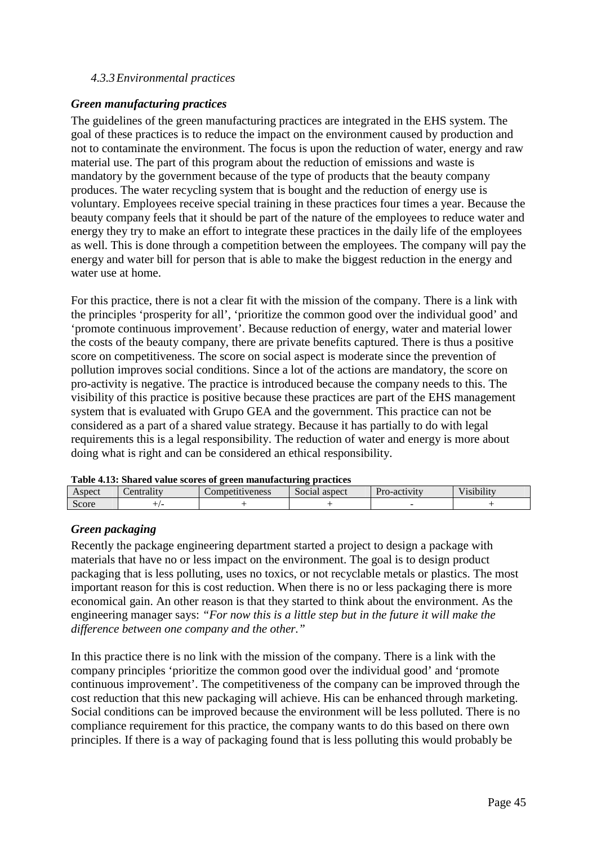#### *4.3.3Environmental practices*

#### *Green manufacturing practices*

The guidelines of the green manufacturing practices are integrated in the EHS system. The goal of these practices is to reduce the impact on the environment caused by production and not to contaminate the environment. The focus is upon the reduction of water, energy and raw material use. The part of this program about the reduction of emissions and waste is mandatory by the government because of the type of products that the beauty company produces. The water recycling system that is bought and the reduction of energy use is voluntary. Employees receive special training in these practices four times a year. Because the beauty company feels that it should be part of the nature of the employees to reduce water and energy they try to make an effort to integrate these practices in the daily life of the employees as well. This is done through a competition between the employees. The company will pay the energy and water bill for person that is able to make the biggest reduction in the energy and water use at home.

For this practice, there is not a clear fit with the mission of the company. There is a link with the principles 'prosperity for all', 'prioritize the common good over the individual good' and 'promote continuous improvement'. Because reduction of energy, water and material lower the costs of the beauty company, there are private benefits captured. There is thus a positive score on competitiveness. The score on social aspect is moderate since the prevention of pollution improves social conditions. Since a lot of the actions are mandatory, the score on pro-activity is negative. The practice is introduced because the company needs to this. The visibility of this practice is positive because these practices are part of the EHS management system that is evaluated with Grupo GEA and the government. This practice can not be considered as a part of a shared value strategy. Because it has partially to do with legal requirements this is a legal responsibility. The reduction of water and energy is more about doing what is right and can be considered an ethical responsibility.

|  |  | Table 4.13: Shared value scores of green manufacturing practices |  |
|--|--|------------------------------------------------------------------|--|
|  |  |                                                                  |  |

| --------   | ----------- |                 |               |              |                                        |  |  |  |  |  |  |
|------------|-------------|-----------------|---------------|--------------|----------------------------------------|--|--|--|--|--|--|
| Aspect     | entrality   | competitiveness | Social aspect | Pro-activity | $\cdot$ $\cdot$<br>T T.<br>V 181b1l1tv |  |  |  |  |  |  |
| ⌒<br>Score |             |                 |               |              |                                        |  |  |  |  |  |  |

#### *Green packaging*

Recently the package engineering department started a project to design a package with materials that have no or less impact on the environment. The goal is to design product packaging that is less polluting, uses no toxics, or not recyclable metals or plastics. The most important reason for this is cost reduction. When there is no or less packaging there is more economical gain. An other reason is that they started to think about the environment. As the engineering manager says: *"For now this is a little step but in the future it will make the difference between one company and the other."* 

In this practice there is no link with the mission of the company. There is a link with the company principles 'prioritize the common good over the individual good' and 'promote continuous improvement'. The competitiveness of the company can be improved through the cost reduction that this new packaging will achieve. His can be enhanced through marketing. Social conditions can be improved because the environment will be less polluted. There is no compliance requirement for this practice, the company wants to do this based on there own principles. If there is a way of packaging found that is less polluting this would probably be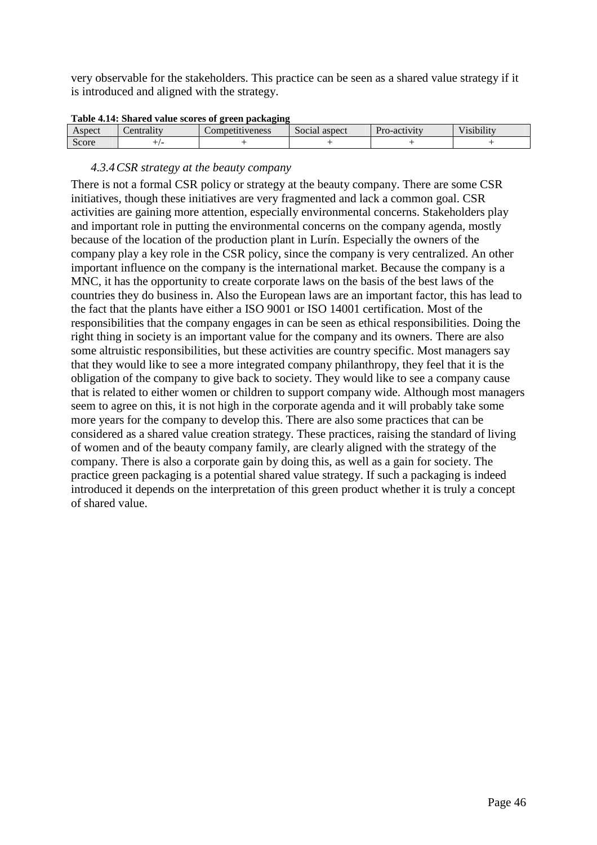very observable for the stakeholders. This practice can be seen as a shared value strategy if it is introduced and aligned with the strategy.

|  |  | Table 4.14: Shared value scores of green packaging |
|--|--|----------------------------------------------------|
|  |  |                                                    |

| Aspect          | 4trality.<br>$\sim$ | ompetitiveness_ | $\sim$<br>Social aspect | Dr <sub>c</sub><br>-ro-activity | <br>$  -$<br>′1S1D1l1t\ |
|-----------------|---------------------|-----------------|-------------------------|---------------------------------|-------------------------|
| $\sim$<br>Score |                     |                 |                         |                                 |                         |

#### *4.3.4CSR strategy at the beauty company*

There is not a formal CSR policy or strategy at the beauty company. There are some CSR initiatives, though these initiatives are very fragmented and lack a common goal. CSR activities are gaining more attention, especially environmental concerns. Stakeholders play and important role in putting the environmental concerns on the company agenda, mostly because of the location of the production plant in Lurín. Especially the owners of the company play a key role in the CSR policy, since the company is very centralized. An other important influence on the company is the international market. Because the company is a MNC, it has the opportunity to create corporate laws on the basis of the best laws of the countries they do business in. Also the European laws are an important factor, this has lead to the fact that the plants have either a ISO 9001 or ISO 14001 certification. Most of the responsibilities that the company engages in can be seen as ethical responsibilities. Doing the right thing in society is an important value for the company and its owners. There are also some altruistic responsibilities, but these activities are country specific. Most managers say that they would like to see a more integrated company philanthropy, they feel that it is the obligation of the company to give back to society. They would like to see a company cause that is related to either women or children to support company wide. Although most managers seem to agree on this, it is not high in the corporate agenda and it will probably take some more years for the company to develop this. There are also some practices that can be considered as a shared value creation strategy. These practices, raising the standard of living of women and of the beauty company family, are clearly aligned with the strategy of the company. There is also a corporate gain by doing this, as well as a gain for society. The practice green packaging is a potential shared value strategy. If such a packaging is indeed introduced it depends on the interpretation of this green product whether it is truly a concept of shared value.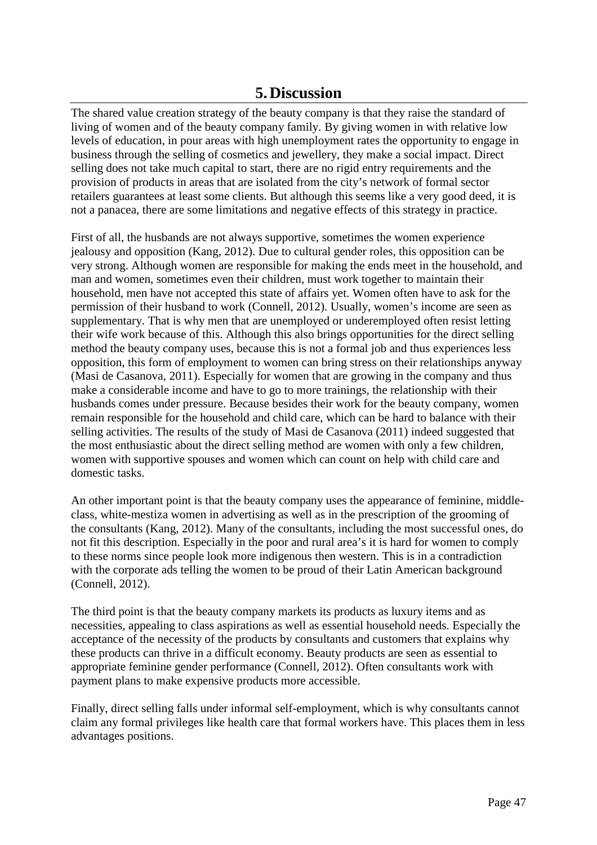## **5.Discussion**

The shared value creation strategy of the beauty company is that they raise the standard of living of women and of the beauty company family. By giving women in with relative low levels of education, in pour areas with high unemployment rates the opportunity to engage in business through the selling of cosmetics and jewellery, they make a social impact. Direct selling does not take much capital to start, there are no rigid entry requirements and the provision of products in areas that are isolated from the city's network of formal sector retailers guarantees at least some clients. But although this seems like a very good deed, it is not a panacea, there are some limitations and negative effects of this strategy in practice.

First of all, the husbands are not always supportive, sometimes the women experience jealousy and opposition (Kang, 2012). Due to cultural gender roles, this opposition can be very strong. Although women are responsible for making the ends meet in the household, and man and women, sometimes even their children, must work together to maintain their household, men have not accepted this state of affairs yet. Women often have to ask for the permission of their husband to work (Connell, 2012). Usually, women's income are seen as supplementary. That is why men that are unemployed or underemployed often resist letting their wife work because of this. Although this also brings opportunities for the direct selling method the beauty company uses, because this is not a formal job and thus experiences less opposition, this form of employment to women can bring stress on their relationships anyway (Masi de Casanova, 2011). Especially for women that are growing in the company and thus make a considerable income and have to go to more trainings, the relationship with their husbands comes under pressure. Because besides their work for the beauty company, women remain responsible for the household and child care, which can be hard to balance with their selling activities. The results of the study of Masi de Casanova (2011) indeed suggested that the most enthusiastic about the direct selling method are women with only a few children, women with supportive spouses and women which can count on help with child care and domestic tasks.

An other important point is that the beauty company uses the appearance of feminine, middleclass, white-mestiza women in advertising as well as in the prescription of the grooming of the consultants (Kang, 2012). Many of the consultants, including the most successful ones, do not fit this description. Especially in the poor and rural area's it is hard for women to comply to these norms since people look more indigenous then western. This is in a contradiction with the corporate ads telling the women to be proud of their Latin American background (Connell, 2012).

The third point is that the beauty company markets its products as luxury items and as necessities, appealing to class aspirations as well as essential household needs. Especially the acceptance of the necessity of the products by consultants and customers that explains why these products can thrive in a difficult economy. Beauty products are seen as essential to appropriate feminine gender performance (Connell, 2012). Often consultants work with payment plans to make expensive products more accessible.

Finally, direct selling falls under informal self-employment, which is why consultants cannot claim any formal privileges like health care that formal workers have. This places them in less advantages positions.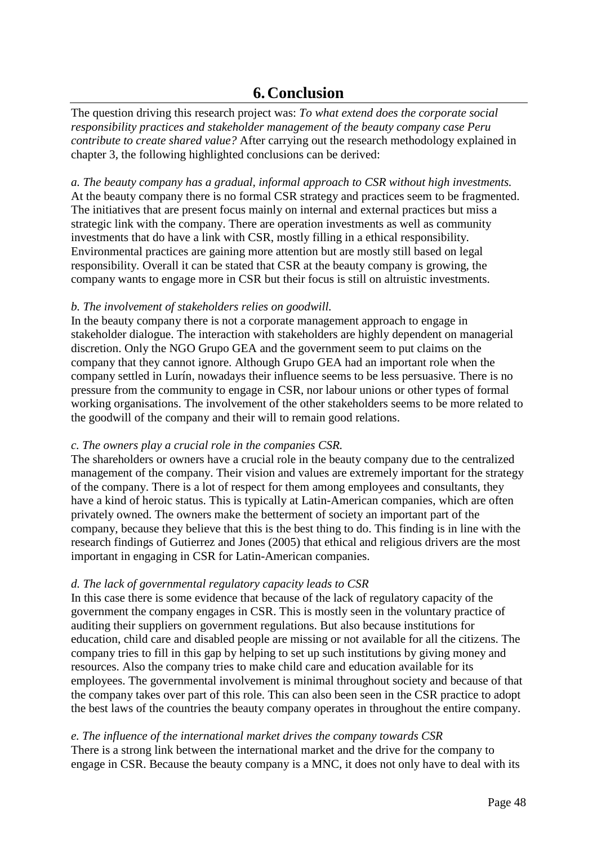## **6.Conclusion**

The question driving this research project was: *To what extend does the corporate social responsibility practices and stakeholder management of the beauty company case Peru contribute to create shared value?* After carrying out the research methodology explained in chapter 3, the following highlighted conclusions can be derived:

*a. The beauty company has a gradual, informal approach to CSR without high investments.*  At the beauty company there is no formal CSR strategy and practices seem to be fragmented. The initiatives that are present focus mainly on internal and external practices but miss a strategic link with the company. There are operation investments as well as community investments that do have a link with CSR, mostly filling in a ethical responsibility. Environmental practices are gaining more attention but are mostly still based on legal responsibility. Overall it can be stated that CSR at the beauty company is growing, the company wants to engage more in CSR but their focus is still on altruistic investments.

#### *b. The involvement of stakeholders relies on goodwill.*

In the beauty company there is not a corporate management approach to engage in stakeholder dialogue. The interaction with stakeholders are highly dependent on managerial discretion. Only the NGO Grupo GEA and the government seem to put claims on the company that they cannot ignore. Although Grupo GEA had an important role when the company settled in Lurín, nowadays their influence seems to be less persuasive. There is no pressure from the community to engage in CSR, nor labour unions or other types of formal working organisations. The involvement of the other stakeholders seems to be more related to the goodwill of the company and their will to remain good relations.

#### *c. The owners play a crucial role in the companies CSR.*

The shareholders or owners have a crucial role in the beauty company due to the centralized management of the company. Their vision and values are extremely important for the strategy of the company. There is a lot of respect for them among employees and consultants, they have a kind of heroic status. This is typically at Latin-American companies, which are often privately owned. The owners make the betterment of society an important part of the company, because they believe that this is the best thing to do. This finding is in line with the research findings of Gutierrez and Jones (2005) that ethical and religious drivers are the most important in engaging in CSR for Latin-American companies.

#### *d. The lack of governmental regulatory capacity leads to CSR*

In this case there is some evidence that because of the lack of regulatory capacity of the government the company engages in CSR. This is mostly seen in the voluntary practice of auditing their suppliers on government regulations. But also because institutions for education, child care and disabled people are missing or not available for all the citizens. The company tries to fill in this gap by helping to set up such institutions by giving money and resources. Also the company tries to make child care and education available for its employees. The governmental involvement is minimal throughout society and because of that the company takes over part of this role. This can also been seen in the CSR practice to adopt the best laws of the countries the beauty company operates in throughout the entire company.

#### *e. The influence of the international market drives the company towards CSR*

There is a strong link between the international market and the drive for the company to engage in CSR. Because the beauty company is a MNC, it does not only have to deal with its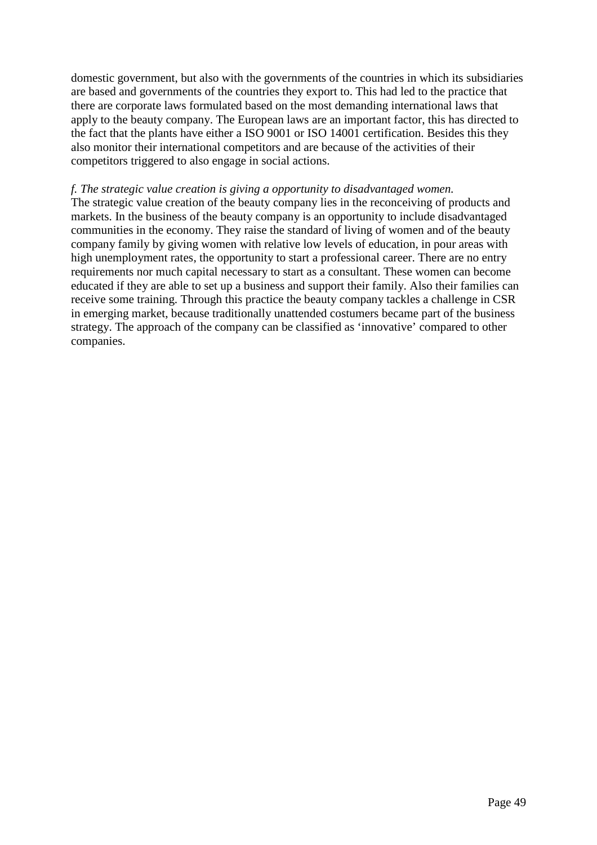domestic government, but also with the governments of the countries in which its subsidiaries are based and governments of the countries they export to. This had led to the practice that there are corporate laws formulated based on the most demanding international laws that apply to the beauty company. The European laws are an important factor, this has directed to the fact that the plants have either a ISO 9001 or ISO 14001 certification. Besides this they also monitor their international competitors and are because of the activities of their competitors triggered to also engage in social actions.

#### *f. The strategic value creation is giving a opportunity to disadvantaged women.*

The strategic value creation of the beauty company lies in the reconceiving of products and markets. In the business of the beauty company is an opportunity to include disadvantaged communities in the economy. They raise the standard of living of women and of the beauty company family by giving women with relative low levels of education, in pour areas with high unemployment rates, the opportunity to start a professional career. There are no entry requirements nor much capital necessary to start as a consultant. These women can become educated if they are able to set up a business and support their family. Also their families can receive some training. Through this practice the beauty company tackles a challenge in CSR in emerging market, because traditionally unattended costumers became part of the business strategy. The approach of the company can be classified as 'innovative' compared to other companies.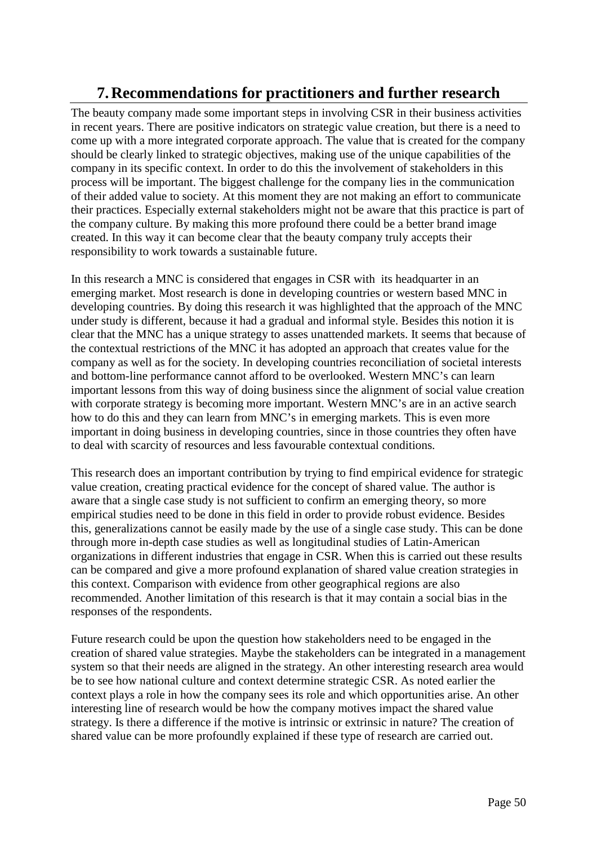## **7.Recommendations for practitioners and further research**

The beauty company made some important steps in involving CSR in their business activities in recent years. There are positive indicators on strategic value creation, but there is a need to come up with a more integrated corporate approach. The value that is created for the company should be clearly linked to strategic objectives, making use of the unique capabilities of the company in its specific context. In order to do this the involvement of stakeholders in this process will be important. The biggest challenge for the company lies in the communication of their added value to society. At this moment they are not making an effort to communicate their practices. Especially external stakeholders might not be aware that this practice is part of the company culture. By making this more profound there could be a better brand image created. In this way it can become clear that the beauty company truly accepts their responsibility to work towards a sustainable future.

In this research a MNC is considered that engages in CSR with its headquarter in an emerging market. Most research is done in developing countries or western based MNC in developing countries. By doing this research it was highlighted that the approach of the MNC under study is different, because it had a gradual and informal style. Besides this notion it is clear that the MNC has a unique strategy to asses unattended markets. It seems that because of the contextual restrictions of the MNC it has adopted an approach that creates value for the company as well as for the society. In developing countries reconciliation of societal interests and bottom-line performance cannot afford to be overlooked. Western MNC's can learn important lessons from this way of doing business since the alignment of social value creation with corporate strategy is becoming more important. Western MNC's are in an active search how to do this and they can learn from MNC's in emerging markets. This is even more important in doing business in developing countries, since in those countries they often have to deal with scarcity of resources and less favourable contextual conditions.

This research does an important contribution by trying to find empirical evidence for strategic value creation, creating practical evidence for the concept of shared value. The author is aware that a single case study is not sufficient to confirm an emerging theory, so more empirical studies need to be done in this field in order to provide robust evidence. Besides this, generalizations cannot be easily made by the use of a single case study. This can be done through more in-depth case studies as well as longitudinal studies of Latin-American organizations in different industries that engage in CSR. When this is carried out these results can be compared and give a more profound explanation of shared value creation strategies in this context. Comparison with evidence from other geographical regions are also recommended. Another limitation of this research is that it may contain a social bias in the responses of the respondents.

Future research could be upon the question how stakeholders need to be engaged in the creation of shared value strategies. Maybe the stakeholders can be integrated in a management system so that their needs are aligned in the strategy. An other interesting research area would be to see how national culture and context determine strategic CSR. As noted earlier the context plays a role in how the company sees its role and which opportunities arise. An other interesting line of research would be how the company motives impact the shared value strategy. Is there a difference if the motive is intrinsic or extrinsic in nature? The creation of shared value can be more profoundly explained if these type of research are carried out.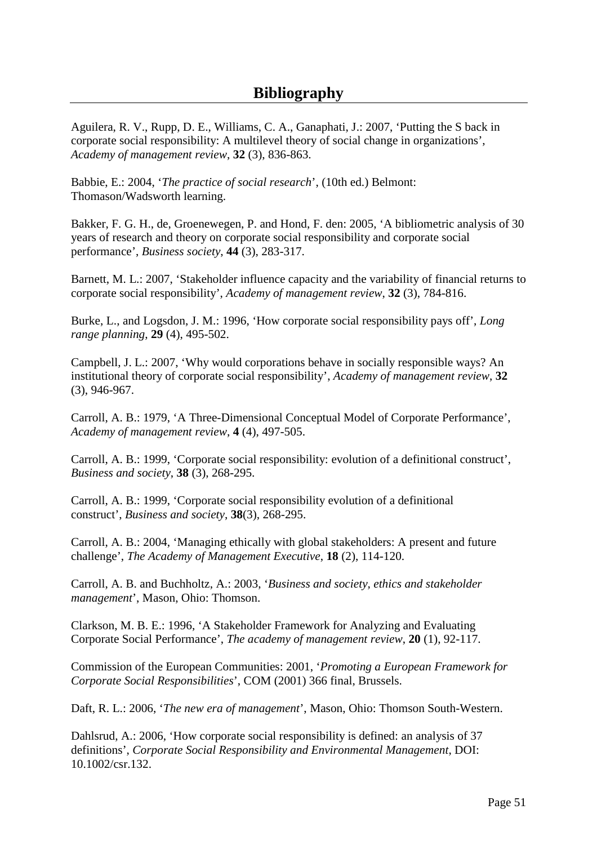Aguilera, R. V., Rupp, D. E., Williams, C. A., Ganaphati, J.: 2007, 'Putting the S back in corporate social responsibility: A multilevel theory of social change in organizations', *Academy of management review*, **32** (3), 836-863.

Babbie, E.: 2004, '*The practice of social research*', (10th ed.) Belmont: Thomason/Wadsworth learning.

Bakker, F. G. H., de, Groenewegen, P. and Hond, F. den: 2005, 'A bibliometric analysis of 30 years of research and theory on corporate social responsibility and corporate social performance', *Business society*, **44** (3), 283-317.

Barnett, M. L.: 2007, 'Stakeholder influence capacity and the variability of financial returns to corporate social responsibility', *Academy of management review*, **32** (3), 784-816.

Burke, L., and Logsdon, J. M.: 1996, 'How corporate social responsibility pays off', *Long range planning*, **29** (4), 495-502.

Campbell, J. L.: 2007, 'Why would corporations behave in socially responsible ways? An institutional theory of corporate social responsibility', *Academy of management review*, **32** (3), 946-967.

Carroll, A. B.: 1979, 'A Three-Dimensional Conceptual Model of Corporate Performance', *Academy of management review*, **4** (4), 497-505.

Carroll, A. B.: 1999, 'Corporate social responsibility: evolution of a definitional construct', *Business and society*, **38** (3), 268-295.

Carroll, A. B.: 1999, 'Corporate social responsibility evolution of a definitional construct', *Business and society*, **38**(3), 268-295.

Carroll, A. B.: 2004, 'Managing ethically with global stakeholders: A present and future challenge', *The Academy of Management Executive*, **18** (2), 114-120.

Carroll, A. B. and Buchholtz, A.: 2003, '*Business and society, ethics and stakeholder management*', Mason, Ohio: Thomson.

Clarkson, M. B. E.: 1996, 'A Stakeholder Framework for Analyzing and Evaluating Corporate Social Performance', *The academy of management review*, **20** (1), 92-117.

Commission of the European Communities: 2001, '*Promoting a European Framework for Corporate Social Responsibilities*', COM (2001) 366 final, Brussels.

Daft, R. L.: 2006, '*The new era of management*', Mason, Ohio: Thomson South-Western.

Dahlsrud, A.: 2006, 'How corporate social responsibility is defined: an analysis of 37 definitions', *Corporate Social Responsibility and Environmental Management*, DOI: 10.1002/csr.132.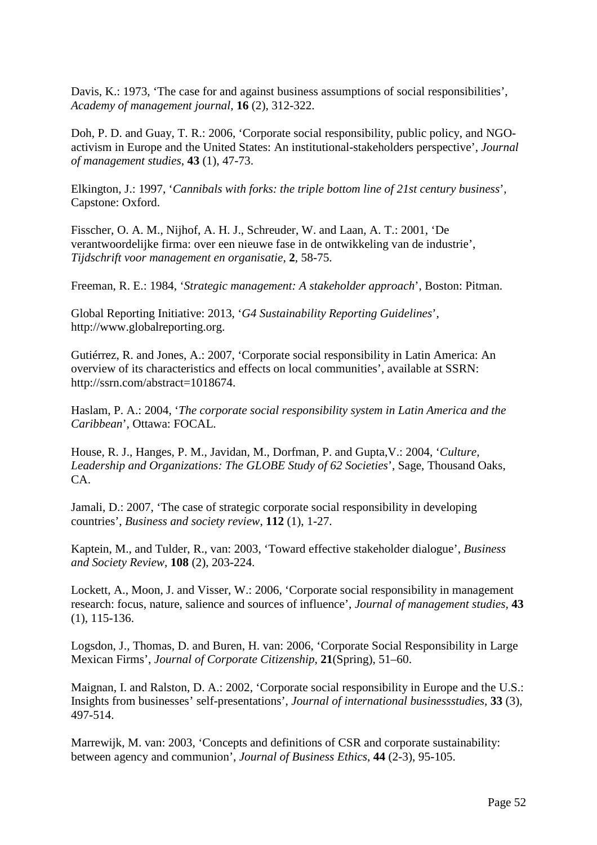Davis, K.: 1973, 'The case for and against business assumptions of social responsibilities', *Academy of management journal*, **16** (2), 312-322.

Doh, P. D. and Guay, T. R.: 2006, 'Corporate social responsibility, public policy, and NGOactivism in Europe and the United States: An institutional-stakeholders perspective', *Journal of management studies*, **43** (1), 47-73.

Elkington, J.: 1997, '*Cannibals with forks: the triple bottom line of 21st century business*', Capstone: Oxford.

Fisscher, O. A. M., Nijhof, A. H. J., Schreuder, W. and Laan, A. T.: 2001, 'De verantwoordelijke firma: over een nieuwe fase in de ontwikkeling van de industrie', *Tijdschrift voor management en organisatie*, **2**, 58-75.

Freeman, R. E.: 1984, '*Strategic management: A stakeholder approach*', Boston: Pitman.

Global Reporting Initiative: 2013, '*G4 Sustainability Reporting Guidelines*', http://www.globalreporting.org.

Gutiérrez, R. and Jones, A.: 2007, 'Corporate social responsibility in Latin America: An overview of its characteristics and effects on local communities', available at SSRN: http://ssrn.com/abstract=1018674.

Haslam, P. A.: 2004, '*The corporate social responsibility system in Latin America and the Caribbean*', Ottawa: FOCAL.

House, R. J., Hanges, P. M., Javidan, M., Dorfman, P. and Gupta,V.: 2004, '*Culture, Leadership and Organizations: The GLOBE Study of 62 Societies*', Sage, Thousand Oaks, CA.

Jamali, D.: 2007, 'The case of strategic corporate social responsibility in developing countries', *Business and society review*, **112** (1), 1-27.

Kaptein, M., and Tulder, R., van: 2003, 'Toward effective stakeholder dialogue', *Business and Society Review*, **108** (2), 203-224.

Lockett, A., Moon, J. and Visser, W.: 2006, 'Corporate social responsibility in management research: focus, nature, salience and sources of influence', *Journal of management studies,* **43** (1), 115-136.

Logsdon, J., Thomas, D. and Buren, H. van: 2006, 'Corporate Social Responsibility in Large Mexican Firms', *Journal of Corporate Citizenship,* **21**(Spring), 51–60.

Maignan, I. and Ralston, D. A.: 2002, 'Corporate social responsibility in Europe and the U.S.: Insights from businesses' self-presentations', *Journal of international businessstudies*, **33** (3), 497-514.

Marrewijk, M. van: 2003, 'Concepts and definitions of CSR and corporate sustainability: between agency and communion', *Journal of Business Ethics*, **44** (2-3), 95-105.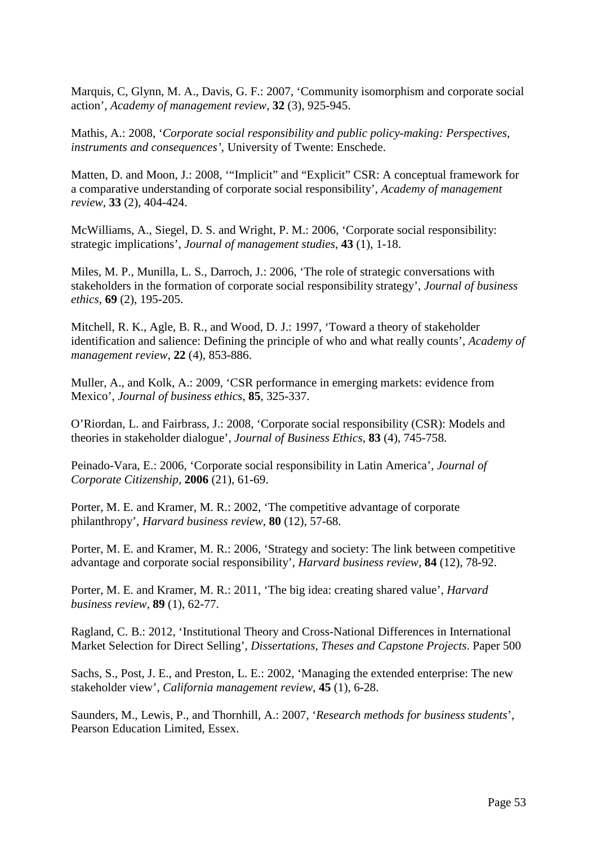Marquis, C, Glynn, M. A., Davis, G. F.: 2007, 'Community isomorphism and corporate social action', *Academy of management review*, **32** (3), 925-945.

Mathis, A.: 2008, '*Corporate social responsibility and public policy-making: Perspectives, instruments and consequences'*, University of Twente: Enschede.

Matten, D. and Moon, J.: 2008, '"Implicit" and "Explicit" CSR: A conceptual framework for a comparative understanding of corporate social responsibility', *Academy of management review*, **33** (2), 404-424.

McWilliams, A., Siegel, D. S. and Wright, P. M.: 2006, 'Corporate social responsibility: strategic implications', *Journal of management studies*, **43** (1), 1-18.

Miles, M. P., Munilla, L. S., Darroch, J.: 2006, 'The role of strategic conversations with stakeholders in the formation of corporate social responsibility strategy', *Journal of business ethics*, **69** (2), 195-205.

Mitchell, R. K., Agle, B. R., and Wood, D. J.: 1997, 'Toward a theory of stakeholder identification and salience: Defining the principle of who and what really counts', *Academy of management review*, **22** (4), 853-886.

Muller, A., and Kolk, A.: 2009, 'CSR performance in emerging markets: evidence from Mexico', *Journal of business ethics*, **85**, 325-337.

O'Riordan, L. and Fairbrass, J.: 2008, 'Corporate social responsibility (CSR): Models and theories in stakeholder dialogue', *Journal of Business Ethics*, **83** (4), 745-758.

Peinado-Vara, E.: 2006, 'Corporate social responsibility in Latin America', *Journal of Corporate Citizenship*, **2006** (21), 61-69.

Porter, M. E. and Kramer, M. R.: 2002, 'The competitive advantage of corporate philanthropy', *Harvard business review*, **80** (12), 57-68.

Porter, M. E. and Kramer, M. R.: 2006, 'Strategy and society: The link between competitive advantage and corporate social responsibility', *Harvard business review,* **84** (12), 78-92.

Porter, M. E. and Kramer, M. R.: 2011, 'The big idea: creating shared value', *Harvard business review*, **89** (1), 62-77.

Ragland, C. B.: 2012, 'Institutional Theory and Cross-National Differences in International Market Selection for Direct Selling', *Dissertations, Theses and Capstone Projects*. Paper 500

Sachs, S., Post, J. E., and Preston, L. E.: 2002, 'Managing the extended enterprise: The new stakeholder view', *California management review*, **45** (1), 6-28.

Saunders, M., Lewis, P., and Thornhill, A.: 2007, '*Research methods for business students*', Pearson Education Limited, Essex.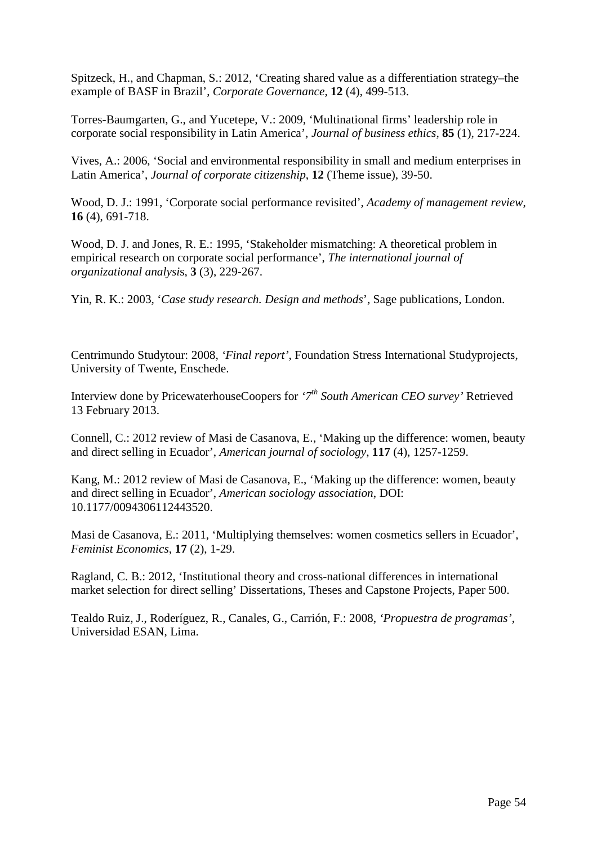Spitzeck, H., and Chapman, S.: 2012, 'Creating shared value as a differentiation strategy–the example of BASF in Brazil', *Corporate Governance*, **12** (4), 499-513.

Torres-Baumgarten, G., and Yucetepe, V.: 2009, 'Multinational firms' leadership role in corporate social responsibility in Latin America', *Journal of business ethics*, **85** (1), 217-224.

Vives, A.: 2006, 'Social and environmental responsibility in small and medium enterprises in Latin America', *Journal of corporate citizenship*, **12** (Theme issue), 39-50.

Wood, D. J.: 1991, 'Corporate social performance revisited', *Academy of management review*, **16** (4), 691-718.

Wood, D. J. and Jones, R. E.: 1995, 'Stakeholder mismatching: A theoretical problem in empirical research on corporate social performance', *The international journal of organizational analysi*s, **3** (3), 229-267.

Yin, R. K.: 2003, '*Case study research. Design and methods*', Sage publications, London.

Centrimundo Studytour: 2008, *'Final report'*, Foundation Stress International Studyprojects, University of Twente, Enschede.

Interview done by PricewaterhouseCoopers for *'7th South American CEO survey'* Retrieved 13 February 2013.

Connell, C.: 2012 review of Masi de Casanova, E., 'Making up the difference: women, beauty and direct selling in Ecuador', *American journal of sociology*, **117** (4), 1257-1259.

Kang, M.: 2012 review of Masi de Casanova, E., 'Making up the difference: women, beauty and direct selling in Ecuador', *American sociology association*, DOI: 10.1177/0094306112443520.

Masi de Casanova, E.: 2011, 'Multiplying themselves: women cosmetics sellers in Ecuador', *Feminist Economics*, **17** (2), 1-29.

Ragland, C. B.: 2012, 'Institutional theory and cross-national differences in international market selection for direct selling' Dissertations, Theses and Capstone Projects, Paper 500.

Tealdo Ruiz, J., Roderíguez, R., Canales, G., Carrión, F.: 2008, *'Propuestra de programas'*, Universidad ESAN, Lima.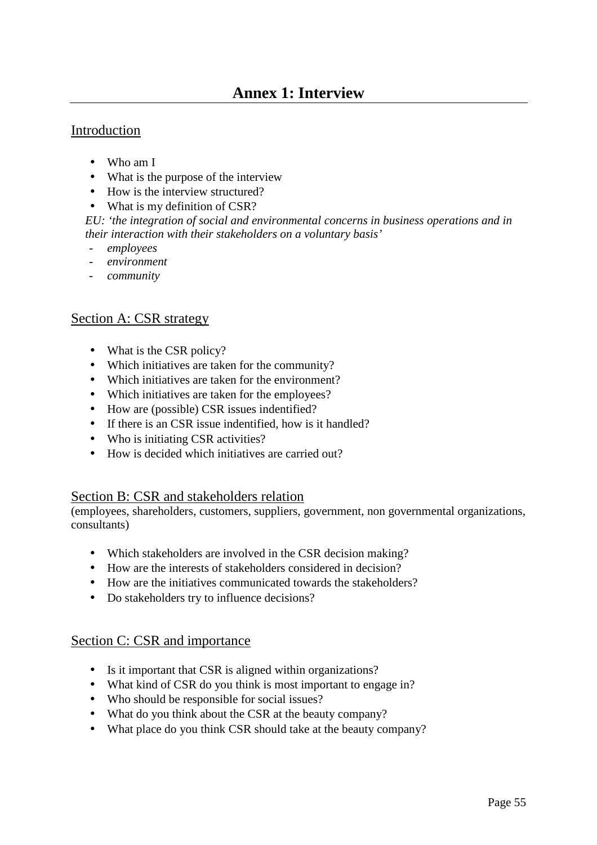## **Annex 1: Interview**

### Introduction

- Who am I
- What is the purpose of the interview
- How is the interview structured?
- What is my definition of CSR?

*EU: 'the integration of social and environmental concerns in business operations and in their interaction with their stakeholders on a voluntary basis'* 

- *employees*
- *environment*
- *community*

#### Section A: CSR strategy

- What is the CSR policy?
- Which initiatives are taken for the community?
- Which initiatives are taken for the environment?
- Which initiatives are taken for the employees?
- How are (possible) CSR issues indentified?
- If there is an CSR issue indentified, how is it handled?
- Who is initiating CSR activities?
- How is decided which initiatives are carried out?

#### Section B: CSR and stakeholders relation

(employees, shareholders, customers, suppliers, government, non governmental organizations, consultants)

- Which stakeholders are involved in the CSR decision making?
- How are the interests of stakeholders considered in decision?
- How are the initiatives communicated towards the stakeholders?
- Do stakeholders try to influence decisions?

### Section C: CSR and importance

- Is it important that CSR is aligned within organizations?
- What kind of CSR do you think is most important to engage in?
- Who should be responsible for social issues?
- What do you think about the CSR at the beauty company?
- What place do you think CSR should take at the beauty company?